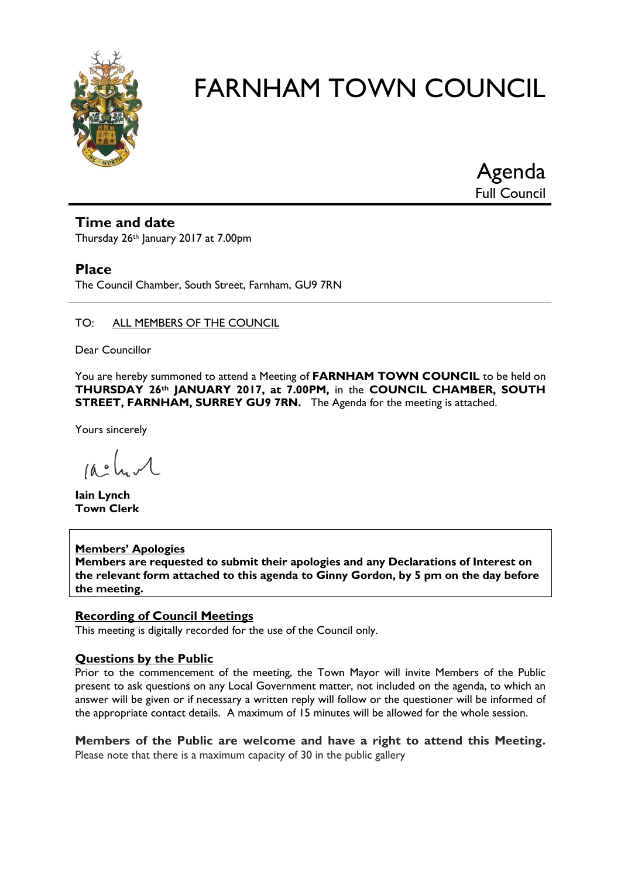

Agenda Full Council

#### **Time and date**

Thursday 26th January 2017 at 7.00pm

#### **Place**

The Council Chamber, South Street, Farnham, GU9 7RN

#### TO: ALL MEMBERS OF THE COUNCIL

Dear Councillor

You are hereby summoned to attend a Meeting of **FARNHAM TOWN COUNCIL** to be held on **THURSDAY 26th JANUARY 2017, at 7.00PM,** in the **COUNCIL CHAMBER, SOUTH STREET, FARNHAM, SURREY GU9 7RN.** The Agenda for the meeting is attached.

Yours sincerely

 $10.0$ 

**Iain Lynch Town Clerk**

#### **Members' Apologies Members are requested to submit their apologies and any Declarations of Interest on the relevant form attached to this agenda to Ginny Gordon, by 5 pm on the day before the meeting.**

#### **Recording of Council Meetings**

This meeting is digitally recorded for the use of the Council only.

#### **Questions by the Public**

Prior to the commencement of the meeting, the Town Mayor will invite Members of the Public present to ask questions on any Local Government matter, not included on the agenda, to which an answer will be given or if necessary a written reply will follow or the questioner will be informed of the appropriate contact details. A maximum of 15 minutes will be allowed for the whole session.

**Members of the Public are welcome and have a right to attend this Meeting.**  Please note that there is a maximum capacity of 30 in the public gallery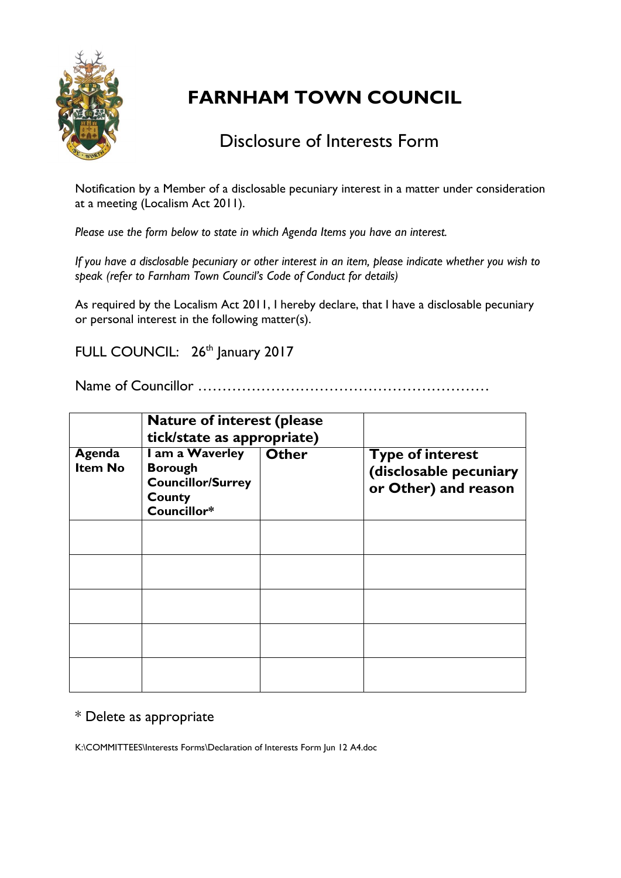

## Disclosure of Interests Form

Notification by a Member of a disclosable pecuniary interest in a matter under consideration at a meeting (Localism Act 2011).

*Please use the form below to state in which Agenda Items you have an interest.* 

*If you have a disclosable pecuniary or other interest in an item, please indicate whether you wish to speak (refer to Farnham Town Council's Code of Conduct for details)*

As required by the Localism Act 2011, I hereby declare, that I have a disclosable pecuniary or personal interest in the following matter(s).

FULL COUNCIL: 26<sup>th</sup> January 2017

Name of Councillor ……………………………………………………

|                          | <b>Nature of interest (please)</b><br>tick/state as appropriate)                       |              |                                                                           |
|--------------------------|----------------------------------------------------------------------------------------|--------------|---------------------------------------------------------------------------|
| Agenda<br><b>Item No</b> | I am a Waverley<br><b>Borough</b><br><b>Councillor/Surrey</b><br>County<br>Councillor* | <b>Other</b> | <b>Type of interest</b><br>(disclosable pecuniary<br>or Other) and reason |
|                          |                                                                                        |              |                                                                           |
|                          |                                                                                        |              |                                                                           |
|                          |                                                                                        |              |                                                                           |
|                          |                                                                                        |              |                                                                           |
|                          |                                                                                        |              |                                                                           |

#### \* Delete as appropriate

K:\COMMITTEES\Interests Forms\Declaration of Interests Form Jun 12 A4.doc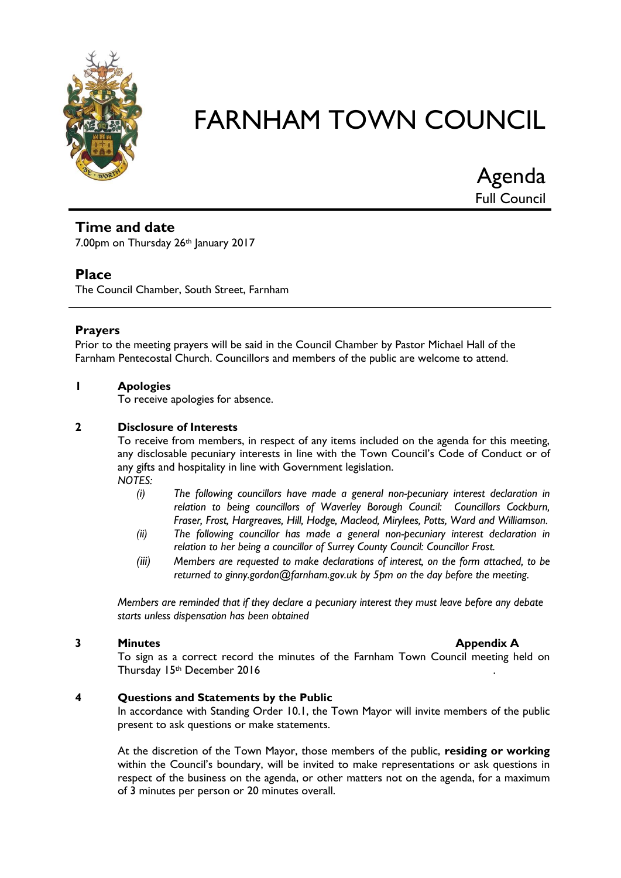

Agenda Full Council

#### **Time and date**

7.00pm on Thursday 26th January 2017

#### **Place**

The Council Chamber, South Street, Farnham

#### **Prayers**

Prior to the meeting prayers will be said in the Council Chamber by Pastor Michael Hall of the Farnham Pentecostal Church. Councillors and members of the public are welcome to attend.

#### **1 Apologies**

To receive apologies for absence.

#### **2 Disclosure of Interests**

To receive from members, in respect of any items included on the agenda for this meeting, any disclosable pecuniary interests in line with the Town Council's Code of Conduct or of any gifts and hospitality in line with Government legislation. *NOTES:*

- *(i) The following councillors have made a general non-pecuniary interest declaration in relation to being councillors of Waverley Borough Council: Councillors Cockburn, Fraser, Frost, Hargreaves, Hill, Hodge, Macleod, Mirylees, Potts, Ward and Williamson.*
- *(ii) The following councillor has made a general non-pecuniary interest declaration in relation to her being a councillor of Surrey County Council: Councillor Frost.*
- *(iii) Members are requested to make declarations of interest, on the form attached, to be returned to ginny.gordon@farnham.gov.uk by 5pm on the day before the meeting.*

*Members are reminded that if they declare a pecuniary interest they must leave before any debate starts unless dispensation has been obtained*

#### **3 Minutes Appendix A**

To sign as a correct record the minutes of the Farnham Town Council meeting held on Thursday 15th December 2016 .

#### **4 Questions and Statements by the Public**

In accordance with Standing Order 10.1, the Town Mayor will invite members of the public present to ask questions or make statements.

At the discretion of the Town Mayor, those members of the public, **residing or working** within the Council's boundary, will be invited to make representations or ask questions in respect of the business on the agenda, or other matters not on the agenda, for a maximum of 3 minutes per person or 20 minutes overall.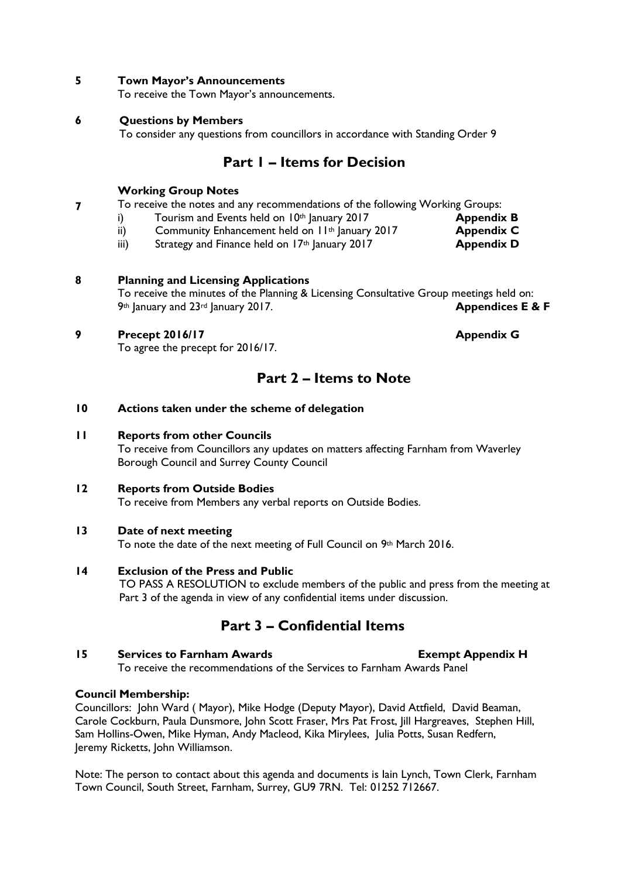#### **5 Town Mayor's Announcements**

To receive the Town Mayor's announcements.

#### **6 Questions by Members**

To consider any questions from councillors in accordance with Standing Order 9

#### **Part 1 – Items for Decision**

#### **Working Group Notes**

- **7** To receive the notes and any recommendations of the following Working Groups:
	- i) Tourism and Events held on 10<sup>th</sup> January 2017 **Appendix B**
	- ii) Community Enhancement held on  $11<sup>th</sup>$  January 2017 **Appendix C**
	- iii) Strategy and Finance held on 17<sup>th</sup> January 2017 **Appendix D**

#### **8 Planning and Licensing Applications**

To receive the minutes of the Planning & Licensing Consultative Group meetings held on: 9th January and 23rd January 2017. **Appendices E & F**

#### **9 Precept 2016/17 Appendix G**

To agree the precept for 2016/17.

#### **Part 2 – Items to Note**

#### **10 Actions taken under the scheme of delegation**

#### **11 Reports from other Councils**

To receive from Councillors any updates on matters affecting Farnham from Waverley Borough Council and Surrey County Council

#### **12 Reports from Outside Bodies**

To receive from Members any verbal reports on Outside Bodies.

#### **13 Date of next meeting**

To note the date of the next meeting of Full Council on 9th March 2016.

#### **14 Exclusion of the Press and Public**

TO PASS A RESOLUTION to exclude members of the public and press from the meeting at Part 3 of the agenda in view of any confidential items under discussion.

#### **Part 3 – Confidential Items**

#### **15 Services to Farnham Awards Exempt Appendix H**

To receive the recommendations of the Services to Farnham Awards Panel

#### **Council Membership:**

Councillors: John Ward ( Mayor), Mike Hodge (Deputy Mayor), David Attfield, David Beaman, Carole Cockburn, Paula Dunsmore, John Scott Fraser, Mrs Pat Frost, Jill Hargreaves, Stephen Hill, Sam Hollins-Owen, Mike Hyman, Andy Macleod, Kika Mirylees, Julia Potts, Susan Redfern, Jeremy Ricketts, John Williamson.

Note: The person to contact about this agenda and documents is Iain Lynch, Town Clerk, Farnham Town Council, South Street, Farnham, Surrey, GU9 7RN. Tel: 01252 712667.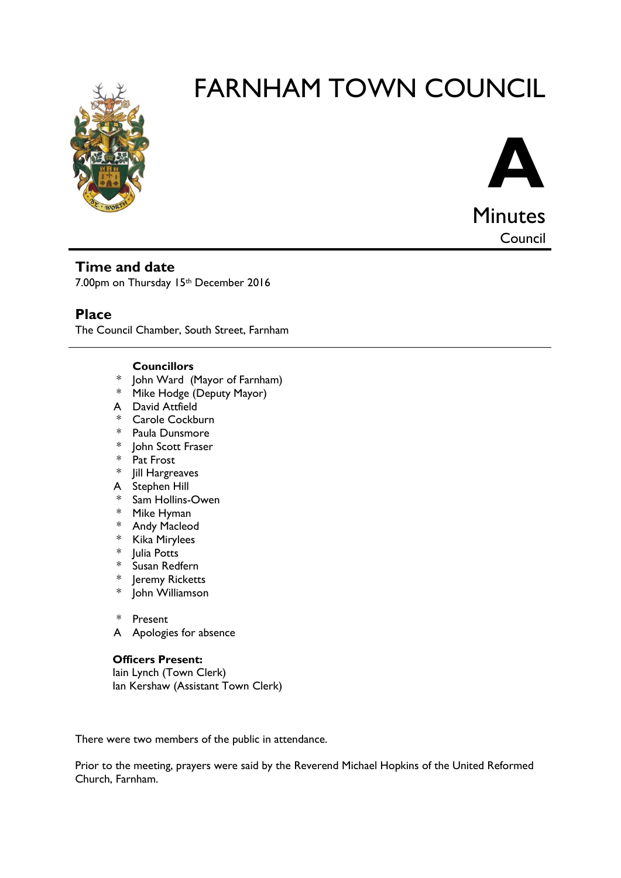



Council

#### **Time and date**

7.00pm on Thursday 15th December 2016

#### **Place**

The Council Chamber, South Street, Farnham

#### **Councillors**

- \* John Ward (Mayor of Farnham)
- \* Mike Hodge (Deputy Mayor)
- A David Attfield
- \* Carole Cockburn
- \* Paula Dunsmore
- \* John Scott Fraser
- \* Pat Frost
- \* Jill Hargreaves
- A Stephen Hill
- \* Sam Hollins-Owen
- \* Mike Hyman
- \* Andy Macleod
- \* Kika Mirylees
- \* Julia Potts
- \* Susan Redfern<br>\* Ieremy Rickett
- Jeremy Ricketts
- \* John Williamson

#### \* Present

A Apologies for absence

#### **Officers Present:**

Iain Lynch (Town Clerk) Ian Kershaw (Assistant Town Clerk)

There were two members of the public in attendance.

Prior to the meeting, prayers were said by the Reverend Michael Hopkins of the United Reformed Church, Farnham.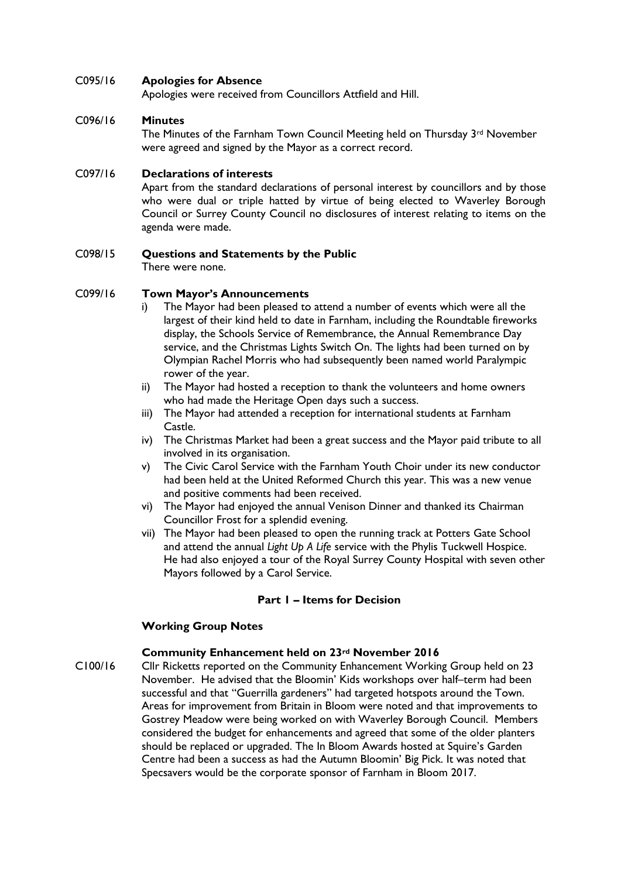#### C095/16 **Apologies for Absence**

Apologies were received from Councillors Attfield and Hill.

#### C096/16 **Minutes**

The Minutes of the Farnham Town Council Meeting held on Thursday 3rd November were agreed and signed by the Mayor as a correct record.

#### C097/16 **Declarations of interests**

Apart from the standard declarations of personal interest by councillors and by those who were dual or triple hatted by virtue of being elected to Waverley Borough Council or Surrey County Council no disclosures of interest relating to items on the agenda were made.

#### C098/15 **Questions and Statements by the Public**

There were none.

#### C099/16 **Town Mayor's Announcements**

- i) The Mayor had been pleased to attend a number of events which were all the largest of their kind held to date in Farnham, including the Roundtable fireworks display, the Schools Service of Remembrance, the Annual Remembrance Day service, and the Christmas Lights Switch On. The lights had been turned on by Olympian Rachel Morris who had subsequently been named world Paralympic rower of the year.
- ii) The Mayor had hosted a reception to thank the volunteers and home owners who had made the Heritage Open days such a success.
- iii) The Mayor had attended a reception for international students at Farnham Castle.
- iv) The Christmas Market had been a great success and the Mayor paid tribute to all involved in its organisation.
- v) The Civic Carol Service with the Farnham Youth Choir under its new conductor had been held at the United Reformed Church this year. This was a new venue and positive comments had been received.
- vi) The Mayor had enjoyed the annual Venison Dinner and thanked its Chairman Councillor Frost for a splendid evening.
- vii) The Mayor had been pleased to open the running track at Potters Gate School and attend the annual *Light Up A Life* service with the Phylis Tuckwell Hospice. He had also enjoyed a tour of the Royal Surrey County Hospital with seven other Mayors followed by a Carol Service.

#### **Part 1 – Items for Decision**

#### **Working Group Notes**

#### **Community Enhancement held on 23rd November 2016**

C100/16 Cllr Ricketts reported on the Community Enhancement Working Group held on 23 November. He advised that the Bloomin' Kids workshops over half–term had been successful and that "Guerrilla gardeners" had targeted hotspots around the Town. Areas for improvement from Britain in Bloom were noted and that improvements to Gostrey Meadow were being worked on with Waverley Borough Council. Members considered the budget for enhancements and agreed that some of the older planters should be replaced or upgraded. The In Bloom Awards hosted at Squire's Garden Centre had been a success as had the Autumn Bloomin' Big Pick. It was noted that Specsavers would be the corporate sponsor of Farnham in Bloom 2017.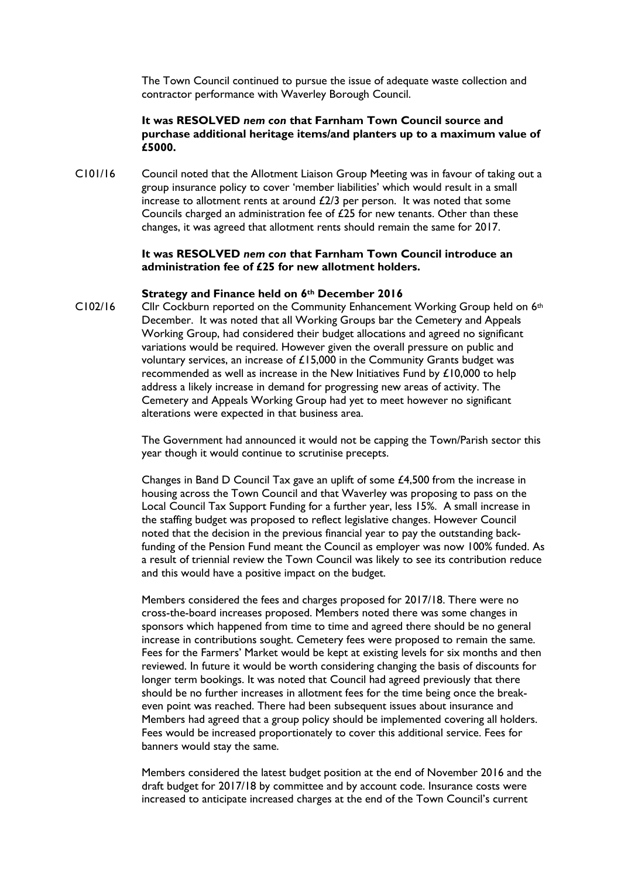The Town Council continued to pursue the issue of adequate waste collection and contractor performance with Waverley Borough Council.

#### **It was RESOLVED** *nem con* **that Farnham Town Council source and purchase additional heritage items/and planters up to a maximum value of £5000.**

C101/16 Council noted that the Allotment Liaison Group Meeting was in favour of taking out a group insurance policy to cover 'member liabilities' which would result in a small increase to allotment rents at around £2/3 per person. It was noted that some Councils charged an administration fee of £25 for new tenants. Other than these changes, it was agreed that allotment rents should remain the same for 2017.

#### **It was RESOLVED** *nem con* **that Farnham Town Council introduce an administration fee of £25 for new allotment holders.**

#### **Strategy and Finance held on 6th December 2016**

 $C102/16$  Cllr Cockburn reported on the Community Enhancement Working Group held on  $6<sup>th</sup>$ December. It was noted that all Working Groups bar the Cemetery and Appeals Working Group, had considered their budget allocations and agreed no significant variations would be required. However given the overall pressure on public and voluntary services, an increase of £15,000 in the Community Grants budget was recommended as well as increase in the New Initiatives Fund by £10,000 to help address a likely increase in demand for progressing new areas of activity. The Cemetery and Appeals Working Group had yet to meet however no significant alterations were expected in that business area.

> The Government had announced it would not be capping the Town/Parish sector this year though it would continue to scrutinise precepts.

> Changes in Band D Council Tax gave an uplift of some £4,500 from the increase in housing across the Town Council and that Waverley was proposing to pass on the Local Council Tax Support Funding for a further year, less 15%. A small increase in the staffing budget was proposed to reflect legislative changes. However Council noted that the decision in the previous financial year to pay the outstanding backfunding of the Pension Fund meant the Council as employer was now 100% funded. As a result of triennial review the Town Council was likely to see its contribution reduce and this would have a positive impact on the budget.

> Members considered the fees and charges proposed for 2017/18. There were no cross-the-board increases proposed. Members noted there was some changes in sponsors which happened from time to time and agreed there should be no general increase in contributions sought. Cemetery fees were proposed to remain the same. Fees for the Farmers' Market would be kept at existing levels for six months and then reviewed. In future it would be worth considering changing the basis of discounts for longer term bookings. It was noted that Council had agreed previously that there should be no further increases in allotment fees for the time being once the breakeven point was reached. There had been subsequent issues about insurance and Members had agreed that a group policy should be implemented covering all holders. Fees would be increased proportionately to cover this additional service. Fees for banners would stay the same.

> Members considered the latest budget position at the end of November 2016 and the draft budget for 2017/18 by committee and by account code. Insurance costs were increased to anticipate increased charges at the end of the Town Council's current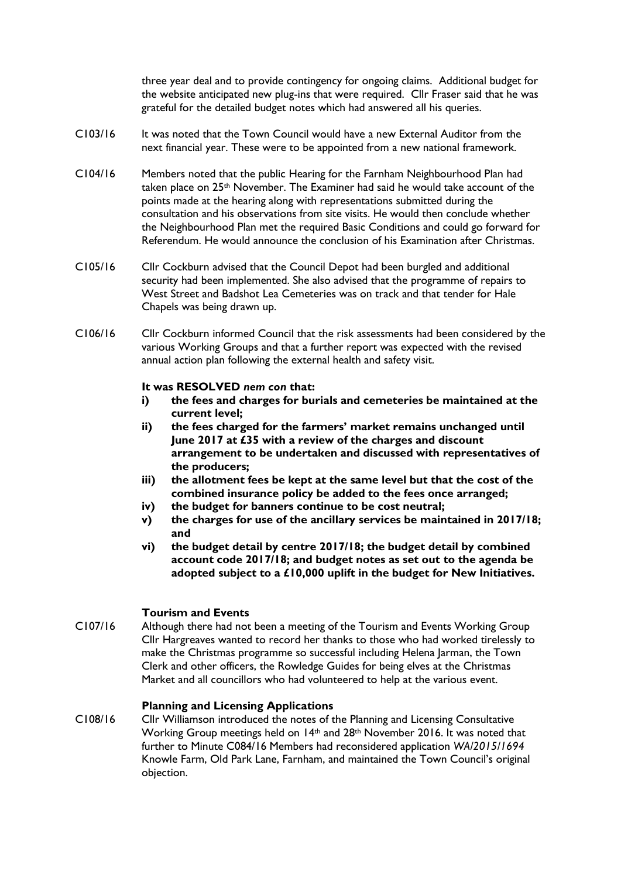three year deal and to provide contingency for ongoing claims. Additional budget for the website anticipated new plug-ins that were required. Cllr Fraser said that he was grateful for the detailed budget notes which had answered all his queries.

- C103/16 It was noted that the Town Council would have a new External Auditor from the next financial year. These were to be appointed from a new national framework.
- C104/16 Members noted that the public Hearing for the Farnham Neighbourhood Plan had taken place on 25<sup>th</sup> November. The Examiner had said he would take account of the points made at the hearing along with representations submitted during the consultation and his observations from site visits. He would then conclude whether the Neighbourhood Plan met the required Basic Conditions and could go forward for Referendum. He would announce the conclusion of his Examination after Christmas.
- C105/16 Cllr Cockburn advised that the Council Depot had been burgled and additional security had been implemented. She also advised that the programme of repairs to West Street and Badshot Lea Cemeteries was on track and that tender for Hale Chapels was being drawn up.
- C106/16 Cllr Cockburn informed Council that the risk assessments had been considered by the various Working Groups and that a further report was expected with the revised annual action plan following the external health and safety visit.

#### **It was RESOLVED** *nem con* **that:**

- **i) the fees and charges for burials and cemeteries be maintained at the current level;**
- **ii) the fees charged for the farmers' market remains unchanged until June 2017 at £35 with a review of the charges and discount arrangement to be undertaken and discussed with representatives of the producers;**
- **iii) the allotment fees be kept at the same level but that the cost of the combined insurance policy be added to the fees once arranged;**
- **iv) the budget for banners continue to be cost neutral;**
- **v) the charges for use of the ancillary services be maintained in 2017/18; and**
- **vi) the budget detail by centre 2017/18; the budget detail by combined account code 2017/18; and budget notes as set out to the agenda be adopted subject to a £10,000 uplift in the budget for New Initiatives.**

#### **Tourism and Events**

C107/16 Although there had not been a meeting of the Tourism and Events Working Group Cllr Hargreaves wanted to record her thanks to those who had worked tirelessly to make the Christmas programme so successful including Helena Jarman, the Town Clerk and other officers, the Rowledge Guides for being elves at the Christmas Market and all councillors who had volunteered to help at the various event.

#### **Planning and Licensing Applications**

C108/16 Cllr Williamson introduced the notes of the Planning and Licensing Consultative Working Group meetings held on 14<sup>th</sup> and 28<sup>th</sup> November 2016. It was noted that further to Minute C084/16 Members had reconsidered application *WA/2015/1694*  Knowle Farm, Old Park Lane, Farnham, and maintained the Town Council's original objection.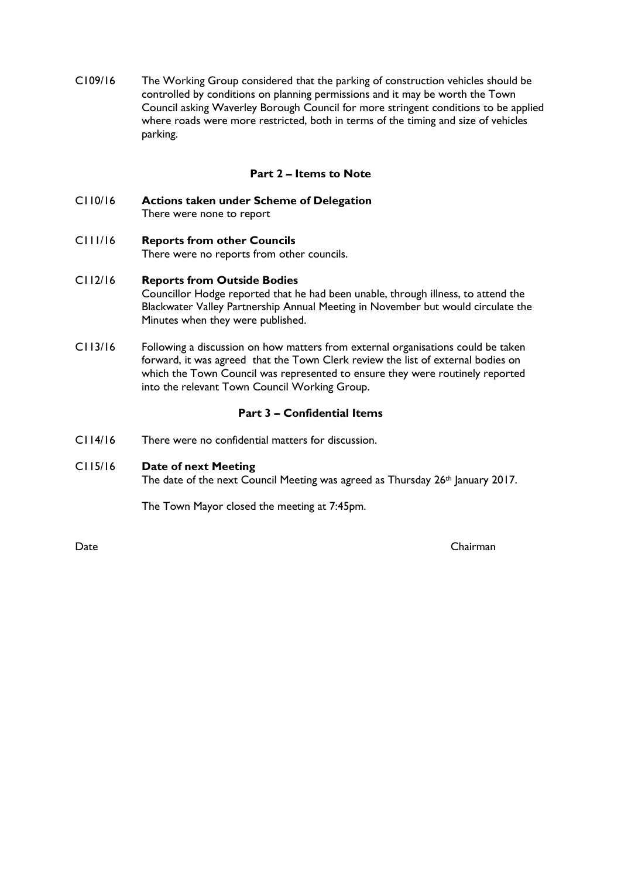C109/16 The Working Group considered that the parking of construction vehicles should be controlled by conditions on planning permissions and it may be worth the Town Council asking Waverley Borough Council for more stringent conditions to be applied where roads were more restricted, both in terms of the timing and size of vehicles parking.

#### **Part 2 – Items to Note**

C110/16 **Actions taken under Scheme of Delegation** There were none to report

## C111/16 **Reports from other Councils**

There were no reports from other councils.

#### C112/16 **Reports from Outside Bodies**

Councillor Hodge reported that he had been unable, through illness, to attend the Blackwater Valley Partnership Annual Meeting in November but would circulate the Minutes when they were published.

C113/16 Following a discussion on how matters from external organisations could be taken forward, it was agreed that the Town Clerk review the list of external bodies on which the Town Council was represented to ensure they were routinely reported into the relevant Town Council Working Group.

#### **Part 3 – Confidential Items**

- C114/16 There were no confidential matters for discussion.
- C115/16 **Date of next Meeting** The date of the next Council Meeting was agreed as Thursday 26<sup>th</sup> January 2017.

The Town Mayor closed the meeting at 7:45pm.

Date Chairman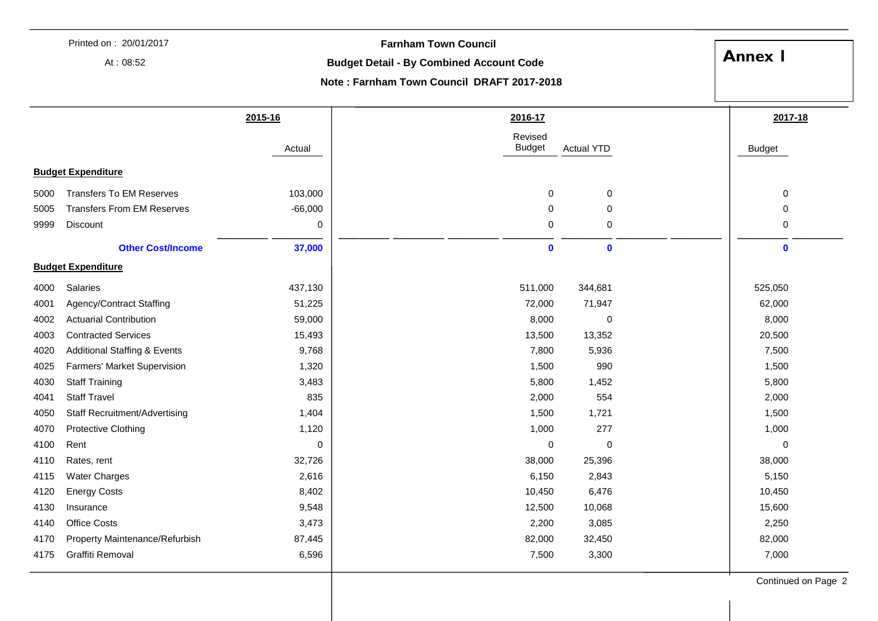|             | Printed on: 20/01/2017                  |                                                 | <b>Farnham Town Council</b>                |                   |               |
|-------------|-----------------------------------------|-------------------------------------------------|--------------------------------------------|-------------------|---------------|
| At: $08:52$ |                                         | <b>Budget Detail - By Combined Account Code</b> |                                            | <b>Annex I</b>    |               |
|             |                                         |                                                 |                                            |                   |               |
|             |                                         |                                                 | Note: Farnham Town Council DRAFT 2017-2018 |                   |               |
|             |                                         | 2015-16                                         | 2016-17                                    |                   | 2017-18       |
|             |                                         |                                                 | Revised                                    |                   |               |
|             |                                         | Actual                                          | <b>Budget</b>                              | <b>Actual YTD</b> | <b>Budget</b> |
|             | <b>Budget Expenditure</b>               |                                                 |                                            |                   |               |
| 5000        | <b>Transfers To EM Reserves</b>         | 103,000                                         | 0                                          | 0                 | 0             |
| 5005        | <b>Transfers From EM Reserves</b>       | $-66,000$                                       | 0                                          | 0                 | 0             |
| 9999        | Discount                                | 0                                               | 0                                          | 0                 | 0             |
|             |                                         |                                                 |                                            |                   |               |
|             | <b>Other Cost/Income</b>                | 37,000                                          | $\mathbf 0$                                | $\mathbf 0$       | $\mathbf 0$   |
|             | <b>Budget Expenditure</b>               |                                                 |                                            |                   |               |
| 4000        | <b>Salaries</b>                         | 437,130                                         | 511,000                                    | 344,681           | 525,050       |
| 4001        | Agency/Contract Staffing                | 51,225                                          | 72,000                                     | 71,947            | 62,000        |
| 4002        | <b>Actuarial Contribution</b>           | 59,000                                          | 8,000                                      | 0                 | 8,000         |
| 4003        | <b>Contracted Services</b>              | 15,493                                          | 13,500                                     | 13,352            | 20,500        |
| 4020        | <b>Additional Staffing &amp; Events</b> | 9,768                                           | 7,800                                      | 5,936             | 7,500         |
| 4025        | Farmers' Market Supervision             | 1,320                                           | 1,500                                      | 990               | 1,500         |
| 4030        | <b>Staff Training</b>                   | 3,483                                           | 5,800                                      | 1,452             | 5,800         |
| 4041        | <b>Staff Travel</b>                     | 835                                             | 2,000                                      | 554               | 2,000         |
| 4050        | <b>Staff Recruitment/Advertising</b>    | 1,404                                           | 1,500                                      | 1,721             | 1,500         |
| 4070        | <b>Protective Clothing</b>              | 1,120                                           | 1,000                                      | 277               | 1,000         |
| 4100        | Rent                                    | 0                                               | 0                                          | 0                 | 0             |
| 4110        | Rates, rent                             | 32,726                                          | 38,000                                     | 25,396            | 38,000        |
| 4115        | <b>Water Charges</b>                    | 2,616                                           | 6,150                                      | 2,843             | 5,150         |
| 4120        | <b>Energy Costs</b>                     | 8,402                                           | 10,450                                     | 6,476             | 10,450        |
| 4130        | Insurance                               | 9,548                                           | 12,500                                     | 10,068            | 15,600        |
| 4140        | Office Costs                            | 3,473                                           | 2,200                                      | 3,085             | 2,250         |
| 4170        | Property Maintenance/Refurbish          | 87,445                                          | 82,000                                     | 32,450            | 82,000        |
| 4175        | Graffiti Removal                        | 6,596                                           | 7,500                                      | 3,300             | 7,000         |
|             |                                         |                                                 |                                            |                   |               |

Continued on Page 2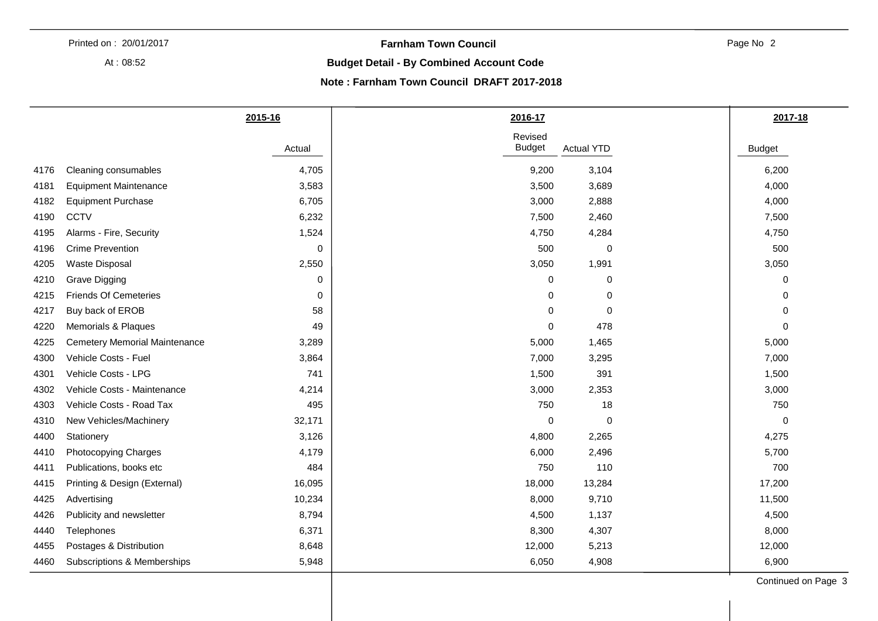At : 08:52

#### **Farnham Town Council**

Page No 2

#### **Budget Detail - By Combined Account Code**

#### **Note : Farnham Town Council DRAFT 2017-2018**

|                                                | 2015-16     | 2016-17                  |                   | 2017-18       |
|------------------------------------------------|-------------|--------------------------|-------------------|---------------|
|                                                | Actual      | Revised<br><b>Budget</b> | <b>Actual YTD</b> | <b>Budget</b> |
| Cleaning consumables<br>4176                   | 4,705       | 9,200                    | 3,104             | 6,200         |
| <b>Equipment Maintenance</b><br>4181           | 3,583       | 3,500                    | 3,689             | 4,000         |
| <b>Equipment Purchase</b><br>4182              | 6,705       | 3,000                    | 2,888             | 4,000         |
| <b>CCTV</b><br>4190                            | 6,232       | 7,500                    | 2,460             | 7,500         |
| Alarms - Fire, Security<br>4195                | 1,524       | 4,750                    | 4,284             | 4,750         |
| <b>Crime Prevention</b><br>4196                | 0           | 500                      | 0                 | 500           |
| Waste Disposal<br>4205                         | 2,550       | 3,050                    | 1,991             | 3,050         |
| Grave Digging<br>4210                          | $\mathbf 0$ | $\Omega$                 | 0                 | 0             |
| <b>Friends Of Cemeteries</b><br>4215           | $\mathbf 0$ | $\Omega$                 | 0                 | 0             |
| Buy back of EROB<br>4217                       | 58          | 0                        | $\mathbf 0$       | 0             |
| Memorials & Plaques<br>4220                    | 49          | 0                        | 478               | 0             |
| <b>Cemetery Memorial Maintenance</b><br>4225   | 3,289       | 5,000                    | 1,465             | 5,000         |
| Vehicle Costs - Fuel<br>4300                   | 3,864       | 7,000                    | 3,295             | 7,000         |
| Vehicle Costs - LPG<br>4301                    | 741         | 1,500                    | 391               | 1,500         |
| Vehicle Costs - Maintenance<br>4302            | 4,214       | 3,000                    | 2,353             | 3,000         |
| Vehicle Costs - Road Tax<br>4303               | 495         | 750                      | 18                | 750           |
| New Vehicles/Machinery<br>4310                 | 32,171      | 0                        | 0                 | $\mathbf 0$   |
| 4400<br>Stationery                             | 3,126       | 4,800                    | 2,265             | 4,275         |
| Photocopying Charges<br>4410                   | 4,179       | 6,000                    | 2,496             | 5,700         |
| Publications, books etc<br>4411                | 484         | 750                      | 110               | 700           |
| Printing & Design (External)<br>4415           | 16,095      | 18,000                   | 13,284            | 17,200        |
| 4425<br>Advertising                            | 10,234      | 8,000                    | 9,710             | 11,500        |
| Publicity and newsletter<br>4426               | 8,794       | 4,500                    | 1,137             | 4,500         |
| Telephones<br>4440                             | 6,371       | 8,300                    | 4,307             | 8,000         |
| Postages & Distribution<br>4455                | 8,648       | 12,000                   | 5,213             | 12,000        |
| <b>Subscriptions &amp; Memberships</b><br>4460 | 5,948       | 6,050                    | 4,908             | 6,900         |

Continued on Page 3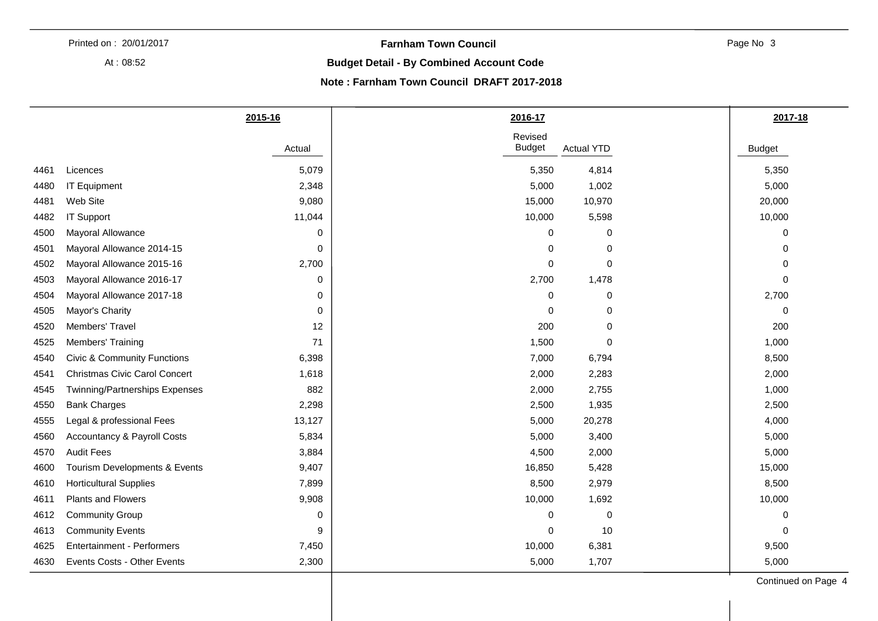At : 08:52

#### **Farnham Town Council**

Page No 3

#### **Budget Detail - By Combined Account Code**

#### **Note : Farnham Town Council DRAFT 2017-2018**

|      |                                        | 2015-16 | 2016-17                  |                   | 2017-18       |
|------|----------------------------------------|---------|--------------------------|-------------------|---------------|
|      |                                        | Actual  | Revised<br><b>Budget</b> | <b>Actual YTD</b> | <b>Budget</b> |
| 4461 | Licences                               | 5,079   | 5,350                    | 4,814             | 5,350         |
| 4480 | IT Equipment                           | 2,348   | 5,000                    | 1,002             | 5,000         |
| 4481 | Web Site                               | 9,080   | 15,000                   | 10,970            | 20,000        |
| 4482 | IT Support                             | 11,044  | 10,000                   | 5,598             | 10,000        |
| 4500 | Mayoral Allowance                      | 0       | $\Omega$                 | $\mathbf 0$       | $\mathbf 0$   |
| 4501 | Mayoral Allowance 2014-15              | 0       | $\Omega$                 | $\mathbf 0$       | $\mathbf 0$   |
| 4502 | Mayoral Allowance 2015-16              | 2,700   | $\Omega$                 | $\pmb{0}$         | 0             |
| 4503 | Mayoral Allowance 2016-17              | 0       | 2,700                    | 1,478             | $\mathbf 0$   |
| 4504 | Mayoral Allowance 2017-18              | 0       | 0                        | 0                 | 2,700         |
| 4505 | Mayor's Charity                        | 0       | $\Omega$                 | 0                 | 0             |
| 4520 | Members' Travel                        | 12      | 200                      | 0                 | 200           |
| 4525 | Members' Training                      | 71      | 1,500                    | $\mathbf 0$       | 1,000         |
| 4540 | <b>Civic &amp; Community Functions</b> | 6,398   | 7,000                    | 6,794             | 8,500         |
| 4541 | <b>Christmas Civic Carol Concert</b>   | 1,618   | 2,000                    | 2,283             | 2,000         |
| 4545 | Twinning/Partnerships Expenses         | 882     | 2,000                    | 2,755             | 1,000         |
| 4550 | <b>Bank Charges</b>                    | 2,298   | 2,500                    | 1,935             | 2,500         |
| 4555 | Legal & professional Fees              | 13,127  | 5,000                    | 20,278            | 4,000         |
| 4560 | <b>Accountancy &amp; Payroll Costs</b> | 5,834   | 5,000                    | 3,400             | 5,000         |
| 4570 | <b>Audit Fees</b>                      | 3,884   | 4,500                    | 2,000             | 5,000         |
| 4600 | Tourism Developments & Events          | 9,407   | 16,850                   | 5,428             | 15,000        |
| 4610 | <b>Horticultural Supplies</b>          | 7,899   | 8,500                    | 2,979             | 8,500         |
| 4611 | Plants and Flowers                     | 9,908   | 10,000                   | 1,692             | 10,000        |
| 4612 | <b>Community Group</b>                 | 0       | $\Omega$                 | 0                 | 0             |
| 4613 | <b>Community Events</b>                | 9       | $\Omega$                 | 10                | $\mathbf 0$   |
| 4625 | <b>Entertainment - Performers</b>      | 7,450   | 10,000                   | 6,381             | 9,500         |
| 4630 | Events Costs - Other Events            | 2,300   | 5,000                    | 1,707             | 5,000         |

Continued on Page 4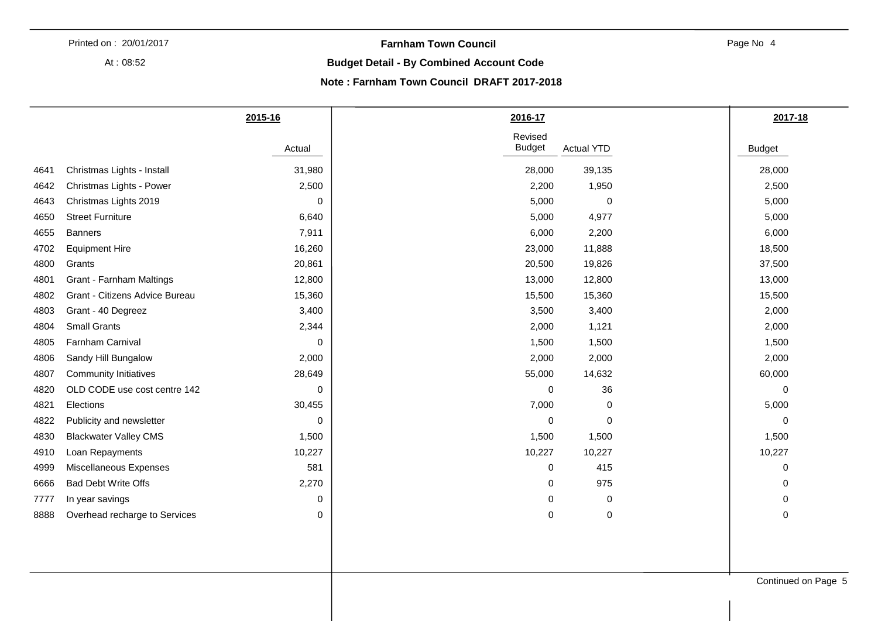At : 08:52

#### **Farnham Town Council**

Page No 4

#### **Budget Detail - By Combined Account Code**

#### **Note : Farnham Town Council DRAFT 2017-2018**

| Revised<br><b>Budget</b><br>28,000<br>2,200<br>5,000<br>5,000 | <b>Actual YTD</b><br>39,135<br>1,950<br>$\,0\,$<br>4,977 | <b>Budget</b><br>28,000<br>2,500<br>5,000 |
|---------------------------------------------------------------|----------------------------------------------------------|-------------------------------------------|
|                                                               |                                                          |                                           |
|                                                               |                                                          |                                           |
|                                                               |                                                          |                                           |
|                                                               |                                                          |                                           |
|                                                               |                                                          | 5,000                                     |
|                                                               | 2,200                                                    | 6,000                                     |
| 23,000                                                        | 11,888                                                   | 18,500                                    |
| 20,500                                                        | 19,826                                                   | 37,500                                    |
| 13,000                                                        | 12,800                                                   | 13,000                                    |
| 15,500                                                        | 15,360                                                   | 15,500                                    |
| 3,500                                                         | 3,400                                                    | 2,000                                     |
| 2,000                                                         | 1,121                                                    | 2,000                                     |
| 1,500                                                         | 1,500                                                    | 1,500                                     |
| 2,000                                                         | 2,000                                                    | 2,000                                     |
| 55,000                                                        | 14,632                                                   | 60,000                                    |
| 0                                                             | 36                                                       | 0                                         |
| 7,000                                                         | 0                                                        | 5,000                                     |
| 0                                                             | 0                                                        | 0                                         |
| 1,500                                                         | 1,500                                                    | 1,500                                     |
| 10,227                                                        | 10,227                                                   | 10,227                                    |
| 0                                                             | 415                                                      | 0                                         |
| 0                                                             | 975                                                      | 0                                         |
| 0                                                             | 0                                                        | 0                                         |
| 0                                                             | $\,0\,$                                                  | $\pmb{0}$                                 |
|                                                               |                                                          |                                           |
|                                                               |                                                          | Continued on Page 5                       |
|                                                               | 6,000                                                    |                                           |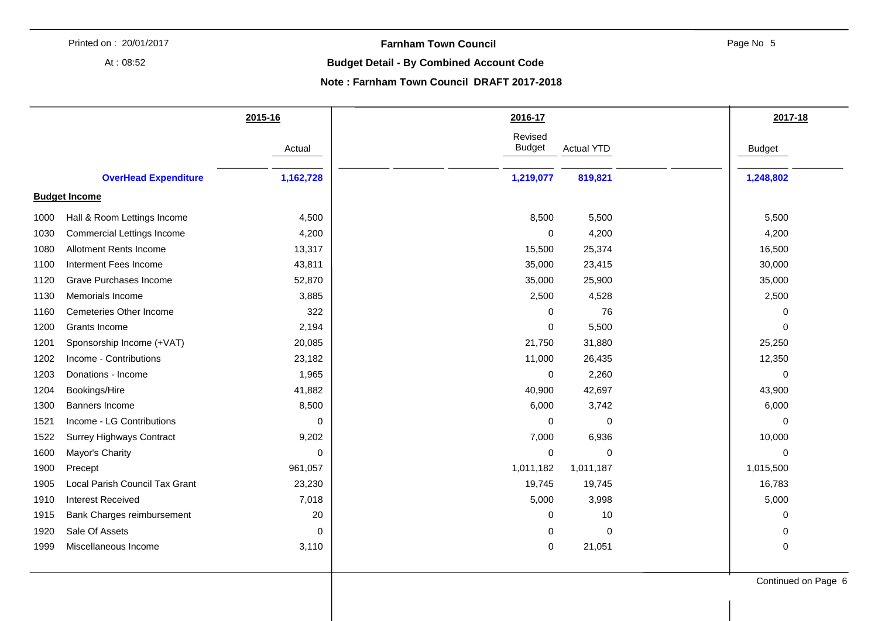At : 08:52

#### **Farnham Town Council**

Page No 5

#### **Budget Detail - By Combined Account Code**

#### **Note : Farnham Town Council DRAFT 2017-2018**

|      |                                   | 2015-16   | 2016-17                  |                   | 2017-18       |
|------|-----------------------------------|-----------|--------------------------|-------------------|---------------|
|      |                                   | Actual    | Revised<br><b>Budget</b> | <b>Actual YTD</b> | <b>Budget</b> |
|      | <b>OverHead Expenditure</b>       | 1,162,728 | 1,219,077                | 819,821           | 1,248,802     |
|      | <b>Budget Income</b>              |           |                          |                   |               |
| 1000 | Hall & Room Lettings Income       | 4,500     | 8,500                    | 5,500             | 5,500         |
| 1030 | <b>Commercial Lettings Income</b> | 4,200     | 0                        | 4,200             | 4,200         |
| 1080 | Allotment Rents Income            | 13,317    | 15,500                   | 25,374            | 16,500        |
| 1100 | Interment Fees Income             | 43,811    | 35,000                   | 23,415            | 30,000        |
| 1120 | Grave Purchases Income            | 52,870    | 35,000                   | 25,900            | 35,000        |
| 1130 | Memorials Income                  | 3,885     | 2,500                    | 4,528             | 2,500         |
| 1160 | <b>Cemeteries Other Income</b>    | 322       | $\Omega$                 | 76                | 0             |
| 1200 | Grants Income                     | 2,194     | $\mathbf 0$              | 5,500             | $\mathbf 0$   |
| 1201 | Sponsorship Income (+VAT)         | 20,085    | 21,750                   | 31,880            | 25,250        |
| 1202 | Income - Contributions            | 23,182    | 11,000                   | 26,435            | 12,350        |
| 1203 | Donations - Income                | 1,965     | $\mathbf 0$              | 2,260             | 0             |
| 1204 | Bookings/Hire                     | 41,882    | 40,900                   | 42,697            | 43,900        |
| 1300 | <b>Banners Income</b>             | 8,500     | 6,000                    | 3,742             | 6,000         |
| 1521 | Income - LG Contributions         | 0         | 0                        | 0                 | 0             |
| 1522 | <b>Surrey Highways Contract</b>   | 9,202     | 7,000                    | 6,936             | 10,000        |
| 1600 | Mayor's Charity                   | 0         | $\mathbf 0$              | 0                 | $\pmb{0}$     |
| 1900 | Precept                           | 961,057   | 1,011,182                | 1,011,187         | 1,015,500     |
| 1905 | Local Parish Council Tax Grant    | 23,230    | 19,745                   | 19,745            | 16,783        |
| 1910 | <b>Interest Received</b>          | 7,018     | 5,000                    | 3,998             | 5,000         |
| 1915 | Bank Charges reimbursement        | 20        | 0                        | 10                | 0             |
| 1920 | Sale Of Assets                    | 0         | 0                        | $\mathbf 0$       | 0             |
| 1999 | Miscellaneous Income              | 3,110     | $\mathbf 0$              | 21,051            | 0             |
|      |                                   |           |                          |                   |               |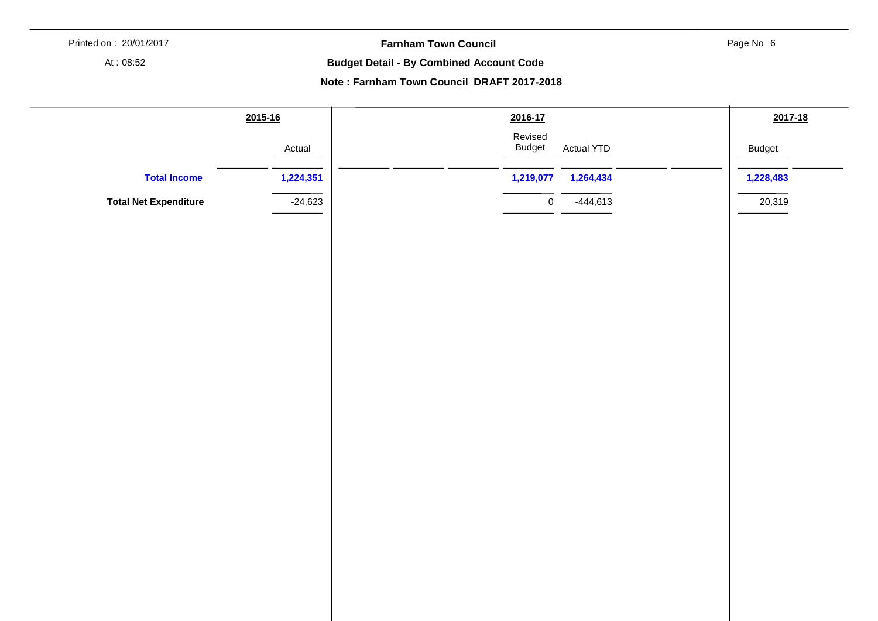**Farnham Town Council** 

Page No 6

At : 08:52

**Budget Detail - By Combined Account Code** 

**Note : Farnham Town Council DRAFT 2017-2018** 

|                              | 2015-16   | 2016-17                                       | 2017-18       |
|------------------------------|-----------|-----------------------------------------------|---------------|
|                              | Actual    | Revised<br><b>Budget</b><br><b>Actual YTD</b> | <b>Budget</b> |
| <b>Total Income</b>          | 1,224,351 | 1,219,077<br>1,264,434                        | 1,228,483     |
| <b>Total Net Expenditure</b> | $-24,623$ | $-444,613$<br>$\mathbf 0$                     | 20,319        |
|                              |           |                                               |               |
|                              |           |                                               |               |
|                              |           |                                               |               |
|                              |           |                                               |               |
|                              |           |                                               |               |
|                              |           |                                               |               |
|                              |           |                                               |               |
|                              |           |                                               |               |
|                              |           |                                               |               |
|                              |           |                                               |               |
|                              |           |                                               |               |
|                              |           |                                               |               |
|                              |           |                                               |               |
|                              |           |                                               |               |
|                              |           |                                               |               |
|                              |           |                                               |               |
|                              |           |                                               |               |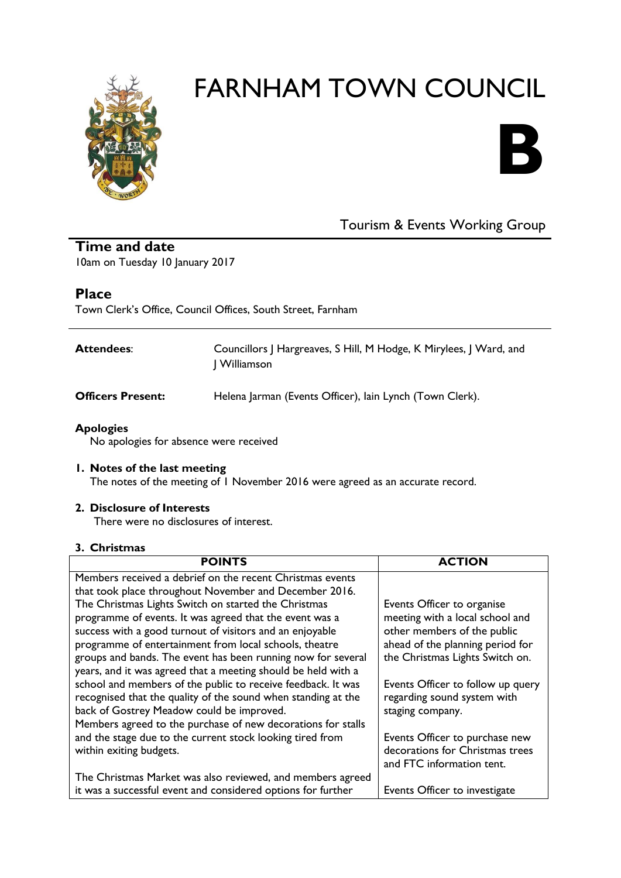



## Tourism & Events Working Group

**Time and date** 10am on Tuesday 10 January 2017

#### **Place**

Town Clerk's Office, Council Offices, South Street, Farnham

| Attendees:               | Councillors   Hargreaves, S Hill, M Hodge, K Mirylees, J Ward, and<br>  Williamson |
|--------------------------|------------------------------------------------------------------------------------|
| <b>Officers Present:</b> | Helena Jarman (Events Officer), lain Lynch (Town Clerk).                           |

#### **Apologies**

No apologies for absence were received

#### **1. Notes of the last meeting**

The notes of the meeting of 1 November 2016 were agreed as an accurate record.

#### **2. Disclosure of Interests**

There were no disclosures of interest.

#### **3. Christmas**

| <b>POINTS</b>                                                 | <b>ACTION</b>                     |
|---------------------------------------------------------------|-----------------------------------|
| Members received a debrief on the recent Christmas events     |                                   |
| that took place throughout November and December 2016.        |                                   |
| The Christmas Lights Switch on started the Christmas          | Events Officer to organise        |
| programme of events. It was agreed that the event was a       | meeting with a local school and   |
| success with a good turnout of visitors and an enjoyable      | other members of the public       |
| programme of entertainment from local schools, theatre        | ahead of the planning period for  |
| groups and bands. The event has been running now for several  | the Christmas Lights Switch on.   |
| years, and it was agreed that a meeting should be held with a |                                   |
| school and members of the public to receive feedback. It was  | Events Officer to follow up query |
| recognised that the quality of the sound when standing at the | regarding sound system with       |
| back of Gostrey Meadow could be improved.                     | staging company.                  |
| Members agreed to the purchase of new decorations for stalls  |                                   |
| and the stage due to the current stock looking tired from     | Events Officer to purchase new    |
| within exiting budgets.                                       | decorations for Christmas trees   |
|                                                               | and FTC information tent.         |
| The Christmas Market was also reviewed, and members agreed    |                                   |
| it was a successful event and considered options for further  | Events Officer to investigate     |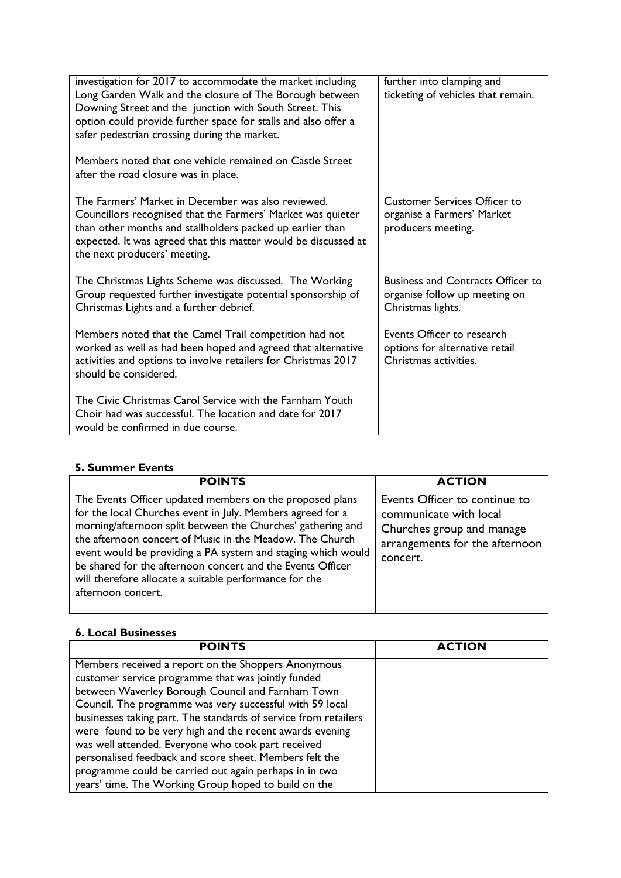| investigation for 2017 to accommodate the market including<br>Long Garden Walk and the closure of The Borough between<br>Downing Street and the junction with South Street. This<br>option could provide further space for stalls and also offer a<br>safer pedestrian crossing during the market. | further into clamping and<br>ticketing of vehicles that remain.                                |
|----------------------------------------------------------------------------------------------------------------------------------------------------------------------------------------------------------------------------------------------------------------------------------------------------|------------------------------------------------------------------------------------------------|
| Members noted that one vehicle remained on Castle Street<br>after the road closure was in place.                                                                                                                                                                                                   |                                                                                                |
| The Farmers' Market in December was also reviewed.<br>Councillors recognised that the Farmers' Market was quieter<br>than other months and stallholders packed up earlier than<br>expected. It was agreed that this matter would be discussed at<br>the next producers' meeting.                   | <b>Customer Services Officer to</b><br>organise a Farmers' Market<br>producers meeting.        |
| The Christmas Lights Scheme was discussed. The Working<br>Group requested further investigate potential sponsorship of<br>Christmas Lights and a further debrief.                                                                                                                                  | <b>Business and Contracts Officer to</b><br>organise follow up meeting on<br>Christmas lights. |
| Members noted that the Camel Trail competition had not<br>worked as well as had been hoped and agreed that alternative<br>activities and options to involve retailers for Christmas 2017<br>should be considered.                                                                                  | Events Officer to research<br>options for alternative retail<br>Christmas activities.          |
| The Civic Christmas Carol Service with the Farnham Youth<br>Choir had was successful. The location and date for 2017<br>would be confirmed in due course.                                                                                                                                          |                                                                                                |

#### **5. Summer Events**

| <b>POINTS</b>                                                                                                                                                                                                                                                                                                                                                                                                                                                   | <b>ACTION</b>                                                                                                                      |
|-----------------------------------------------------------------------------------------------------------------------------------------------------------------------------------------------------------------------------------------------------------------------------------------------------------------------------------------------------------------------------------------------------------------------------------------------------------------|------------------------------------------------------------------------------------------------------------------------------------|
| The Events Officer updated members on the proposed plans<br>for the local Churches event in July. Members agreed for a<br>morning/afternoon split between the Churches' gathering and<br>the afternoon concert of Music in the Meadow. The Church<br>event would be providing a PA system and staging which would<br>be shared for the afternoon concert and the Events Officer<br>will therefore allocate a suitable performance for the<br>afternoon concert. | Events Officer to continue to<br>communicate with local<br>Churches group and manage<br>arrangements for the afternoon<br>concert. |

#### **6. Local Businesses**

| <b>POINTS</b>                                                   | <b>ACTION</b> |
|-----------------------------------------------------------------|---------------|
| Members received a report on the Shoppers Anonymous             |               |
| customer service programme that was jointly funded              |               |
| between Waverley Borough Council and Farnham Town               |               |
| Council. The programme was very successful with 59 local        |               |
| businesses taking part. The standards of service from retailers |               |
| were found to be very high and the recent awards evening        |               |
| was well attended. Everyone who took part received              |               |
| personalised feedback and score sheet. Members felt the         |               |
| programme could be carried out again perhaps in in two          |               |
| years' time. The Working Group hoped to build on the            |               |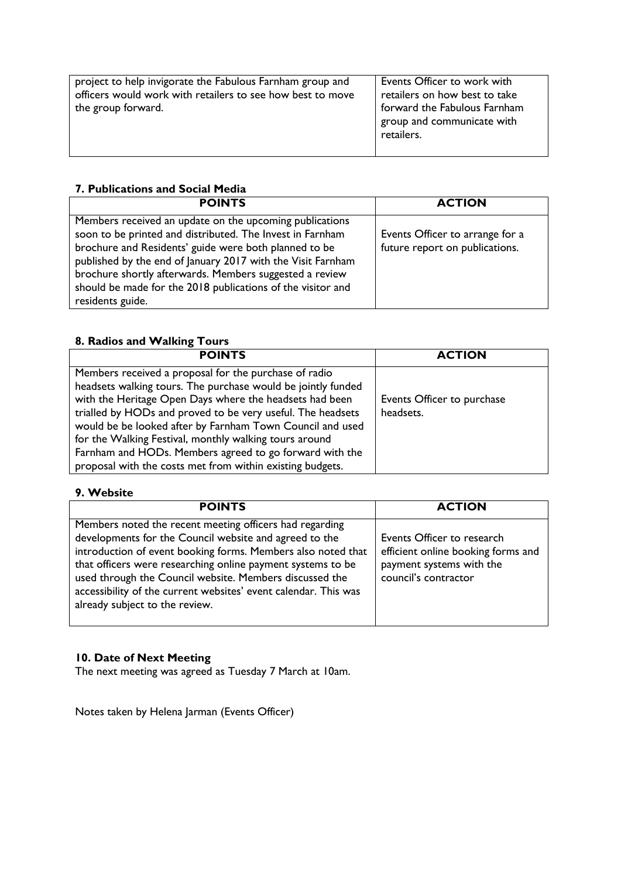| project to help invigorate the Fabulous Farnham group and<br>officers would work with retailers to see how best to move<br>the group forward. | Events Officer to work with<br>retailers on how best to take<br>forward the Fabulous Farnham<br>group and communicate with<br>retailers. |
|-----------------------------------------------------------------------------------------------------------------------------------------------|------------------------------------------------------------------------------------------------------------------------------------------|

#### **7. Publications and Social Media**

| <b>POINTS</b>                                                                                                                                                                                                                                                                                                                                                                              | <b>ACTION</b>                                                     |
|--------------------------------------------------------------------------------------------------------------------------------------------------------------------------------------------------------------------------------------------------------------------------------------------------------------------------------------------------------------------------------------------|-------------------------------------------------------------------|
| Members received an update on the upcoming publications<br>soon to be printed and distributed. The Invest in Farnham<br>brochure and Residents' guide were both planned to be<br>published by the end of January 2017 with the Visit Farnham<br>brochure shortly afterwards. Members suggested a review<br>should be made for the 2018 publications of the visitor and<br>residents guide. | Events Officer to arrange for a<br>future report on publications. |

#### **8. Radios and Walking Tours**

| <b>POINTS</b>                                                | <b>ACTION</b>              |
|--------------------------------------------------------------|----------------------------|
| Members received a proposal for the purchase of radio        |                            |
| headsets walking tours. The purchase would be jointly funded |                            |
| with the Heritage Open Days where the headsets had been      | Events Officer to purchase |
| trialled by HODs and proved to be very useful. The headsets  | headsets.                  |
| would be be looked after by Farnham Town Council and used    |                            |
| for the Walking Festival, monthly walking tours around       |                            |
| Farnham and HODs. Members agreed to go forward with the      |                            |
| proposal with the costs met from within existing budgets.    |                            |

#### **9. Website**

| <b>POINTS</b>                                                                                                                                                                                                                                                                                                                                                                                                    | <b>ACTION</b>                                                                                                        |
|------------------------------------------------------------------------------------------------------------------------------------------------------------------------------------------------------------------------------------------------------------------------------------------------------------------------------------------------------------------------------------------------------------------|----------------------------------------------------------------------------------------------------------------------|
| Members noted the recent meeting officers had regarding<br>developments for the Council website and agreed to the<br>introduction of event booking forms. Members also noted that<br>that officers were researching online payment systems to be<br>used through the Council website. Members discussed the<br>accessibility of the current websites' event calendar. This was<br>already subject to the review. | Events Officer to research<br>efficient online booking forms and<br>payment systems with the<br>council's contractor |

#### **10. Date of Next Meeting**

The next meeting was agreed as Tuesday 7 March at 10am.

Notes taken by Helena Jarman (Events Officer)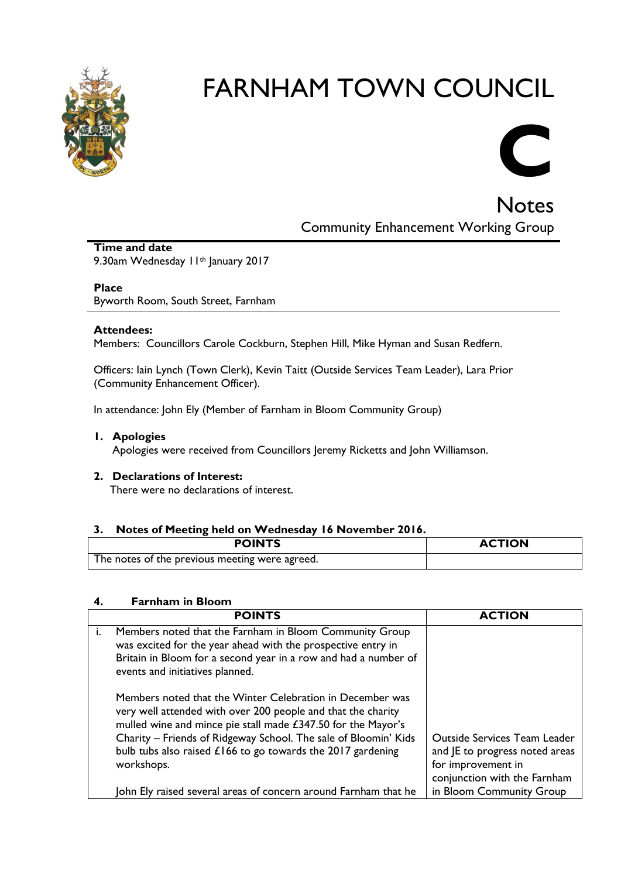



**Notes** Community Enhancement Working Group

**Time and date** 9.30am Wednesday II<sup>th</sup> January 2017

#### **Place**

Byworth Room, South Street, Farnham

#### **Attendees:**

Members: Councillors Carole Cockburn, Stephen Hill, Mike Hyman and Susan Redfern.

Officers: Iain Lynch (Town Clerk), Kevin Taitt (Outside Services Team Leader), Lara Prior (Community Enhancement Officer).

In attendance: John Ely (Member of Farnham in Bloom Community Group)

#### **1. Apologies**

Apologies were received from Councillors Jeremy Ricketts and John Williamson.

**2. Declarations of Interest:** There were no declarations of interest.

#### **3. Notes of Meeting held on Wednesday 16 November 2016.**

| <b>POINTS</b>                                  | <b>ACTION</b> |
|------------------------------------------------|---------------|
| The notes of the previous meeting were agreed. |               |

#### **4. Farnham in Bloom**

| <b>POINTS</b>                                                                                                                                                                                                                                                                                                                               | <b>ACTION</b>                                                                                                        |
|---------------------------------------------------------------------------------------------------------------------------------------------------------------------------------------------------------------------------------------------------------------------------------------------------------------------------------------------|----------------------------------------------------------------------------------------------------------------------|
| Members noted that the Farnham in Bloom Community Group<br>was excited for the year ahead with the prospective entry in<br>Britain in Bloom for a second year in a row and had a number of<br>events and initiatives planned.                                                                                                               |                                                                                                                      |
| Members noted that the Winter Celebration in December was<br>very well attended with over 200 people and that the charity<br>mulled wine and mince pie stall made £347.50 for the Mayor's<br>Charity - Friends of Ridgeway School. The sale of Bloomin' Kids<br>bulb tubs also raised $£166$ to go towards the 2017 gardening<br>workshops. | Outside Services Team Leader<br>and JE to progress noted areas<br>for improvement in<br>conjunction with the Farnham |
| John Ely raised several areas of concern around Farnham that he                                                                                                                                                                                                                                                                             | in Bloom Community Group                                                                                             |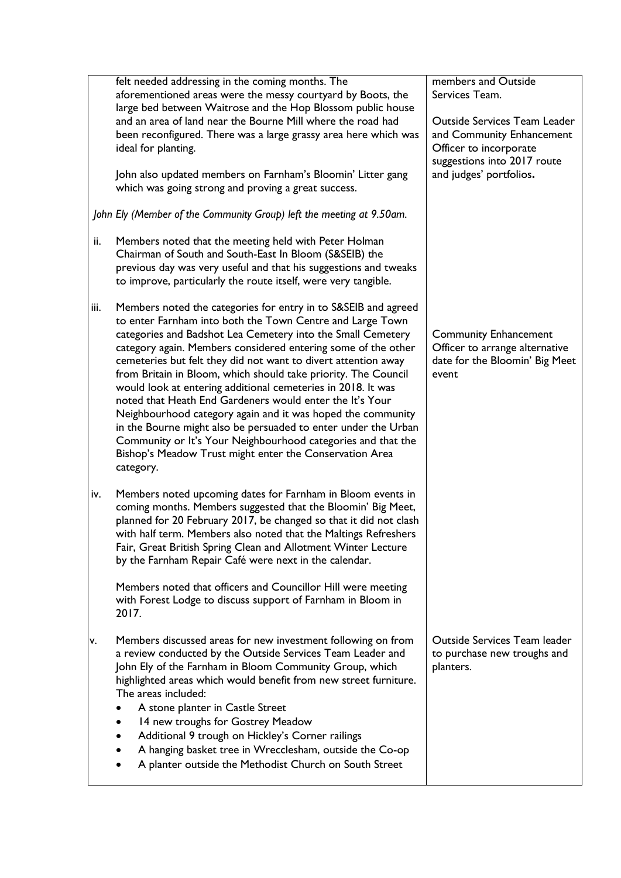|      | felt needed addressing in the coming months. The<br>aforementioned areas were the messy courtyard by Boots, the<br>large bed between Waitrose and the Hop Blossom public house<br>and an area of land near the Bourne Mill where the road had<br>been reconfigured. There was a large grassy area here which was<br>ideal for planting.<br>John also updated members on Farnham's Bloomin' Litter gang<br>which was going strong and proving a great success.                                                                                                                                                                                                                                                                                                                                        | members and Outside<br>Services Team.<br><b>Outside Services Team Leader</b><br>and Community Enhancement<br>Officer to incorporate<br>suggestions into 2017 route<br>and judges' portfolios. |
|------|------------------------------------------------------------------------------------------------------------------------------------------------------------------------------------------------------------------------------------------------------------------------------------------------------------------------------------------------------------------------------------------------------------------------------------------------------------------------------------------------------------------------------------------------------------------------------------------------------------------------------------------------------------------------------------------------------------------------------------------------------------------------------------------------------|-----------------------------------------------------------------------------------------------------------------------------------------------------------------------------------------------|
|      | John Ely (Member of the Community Group) left the meeting at 9.50am.                                                                                                                                                                                                                                                                                                                                                                                                                                                                                                                                                                                                                                                                                                                                 |                                                                                                                                                                                               |
| ii.  | Members noted that the meeting held with Peter Holman<br>Chairman of South and South-East In Bloom (S&SEIB) the<br>previous day was very useful and that his suggestions and tweaks<br>to improve, particularly the route itself, were very tangible.                                                                                                                                                                                                                                                                                                                                                                                                                                                                                                                                                |                                                                                                                                                                                               |
| iii. | Members noted the categories for entry in to S&SEIB and agreed<br>to enter Farnham into both the Town Centre and Large Town<br>categories and Badshot Lea Cemetery into the Small Cemetery<br>category again. Members considered entering some of the other<br>cemeteries but felt they did not want to divert attention away<br>from Britain in Bloom, which should take priority. The Council<br>would look at entering additional cemeteries in 2018. It was<br>noted that Heath End Gardeners would enter the It's Your<br>Neighbourhood category again and it was hoped the community<br>in the Bourne might also be persuaded to enter under the Urban<br>Community or It's Your Neighbourhood categories and that the<br>Bishop's Meadow Trust might enter the Conservation Area<br>category. | <b>Community Enhancement</b><br>Officer to arrange alternative<br>date for the Bloomin' Big Meet<br>event                                                                                     |
| iv.  | Members noted upcoming dates for Farnham in Bloom events in<br>coming months. Members suggested that the Bloomin' Big Meet,<br>planned for 20 February 2017, be changed so that it did not clash<br>with half term. Members also noted that the Maltings Refreshers<br>Fair, Great British Spring Clean and Allotment Winter Lecture<br>by the Farnham Repair Café were next in the calendar.<br>Members noted that officers and Councillor Hill were meeting<br>with Forest Lodge to discuss support of Farnham in Bloom in                                                                                                                                                                                                                                                                         |                                                                                                                                                                                               |
|      | 2017.                                                                                                                                                                                                                                                                                                                                                                                                                                                                                                                                                                                                                                                                                                                                                                                                |                                                                                                                                                                                               |
| ٧.   | Members discussed areas for new investment following on from<br>a review conducted by the Outside Services Team Leader and<br>John Ely of the Farnham in Bloom Community Group, which<br>highlighted areas which would benefit from new street furniture.<br>The areas included:<br>A stone planter in Castle Street<br>14 new troughs for Gostrey Meadow<br>Additional 9 trough on Hickley's Corner railings<br>A hanging basket tree in Wrecclesham, outside the Co-op<br>A planter outside the Methodist Church on South Street                                                                                                                                                                                                                                                                   | Outside Services Team leader<br>to purchase new troughs and<br>planters.                                                                                                                      |
|      |                                                                                                                                                                                                                                                                                                                                                                                                                                                                                                                                                                                                                                                                                                                                                                                                      |                                                                                                                                                                                               |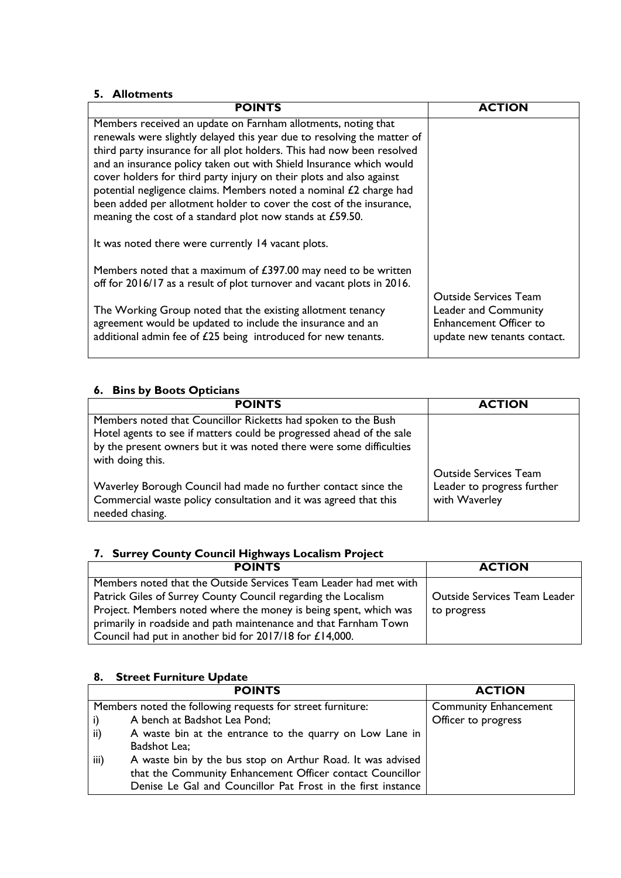#### **5. Allotments**

| <b>POINTS</b>                                                                                                                    | <b>ACTION</b>                 |
|----------------------------------------------------------------------------------------------------------------------------------|-------------------------------|
| Members received an update on Farnham allotments, noting that                                                                    |                               |
| renewals were slightly delayed this year due to resolving the matter of                                                          |                               |
| third party insurance for all plot holders. This had now been resolved                                                           |                               |
| and an insurance policy taken out with Shield Insurance which would                                                              |                               |
| cover holders for third party injury on their plots and also against                                                             |                               |
| potential negligence claims. Members noted a nominal £2 charge had                                                               |                               |
| been added per allotment holder to cover the cost of the insurance,<br>meaning the cost of a standard plot now stands at £59.50. |                               |
|                                                                                                                                  |                               |
| It was noted there were currently 14 vacant plots.                                                                               |                               |
| Members noted that a maximum of £397.00 may need to be written                                                                   |                               |
| off for 2016/17 as a result of plot turnover and vacant plots in 2016.                                                           |                               |
|                                                                                                                                  | <b>Outside Services Team</b>  |
| The Working Group noted that the existing allotment tenancy                                                                      | Leader and Community          |
| agreement would be updated to include the insurance and an                                                                       | <b>Enhancement Officer to</b> |
| additional admin fee of £25 being introduced for new tenants.                                                                    | update new tenants contact.   |
|                                                                                                                                  |                               |

#### **6. Bins by Boots Opticians**

| <b>POINTS</b>                                                                                                                                                                                                                    | <b>ACTION</b>                                                               |
|----------------------------------------------------------------------------------------------------------------------------------------------------------------------------------------------------------------------------------|-----------------------------------------------------------------------------|
| Members noted that Councillor Ricketts had spoken to the Bush<br>Hotel agents to see if matters could be progressed ahead of the sale<br>by the present owners but it was noted there were some difficulties<br>with doing this. |                                                                             |
| Waverley Borough Council had made no further contact since the<br>Commercial waste policy consultation and it was agreed that this<br>needed chasing.                                                                            | <b>Outside Services Team</b><br>Leader to progress further<br>with Waverley |

### **7. Surrey County Council Highways Localism Project**

| <b>POINTS</b>                                                    | <b>ACTION</b>                       |
|------------------------------------------------------------------|-------------------------------------|
| Members noted that the Outside Services Team Leader had met with |                                     |
| Patrick Giles of Surrey County Council regarding the Localism    | <b>Outside Services Team Leader</b> |
| Project. Members noted where the money is being spent, which was | to progress                         |
| primarily in roadside and path maintenance and that Farnham Town |                                     |
| Council had put in another bid for 2017/18 for £14,000.          |                                     |

#### **8. Street Furniture Update**

| <b>POINTS</b>                                                      | <b>ACTION</b>                |
|--------------------------------------------------------------------|------------------------------|
| Members noted the following requests for street furniture:         | <b>Community Enhancement</b> |
| A bench at Badshot Lea Pond;<br>i)                                 | Officer to progress          |
| A waste bin at the entrance to the quarry on Low Lane in<br>ii)    |                              |
| Badshot Lea;                                                       |                              |
| A waste bin by the bus stop on Arthur Road. It was advised<br>iii) |                              |
| that the Community Enhancement Officer contact Councillor          |                              |
| Denise Le Gal and Councillor Pat Frost in the first instance       |                              |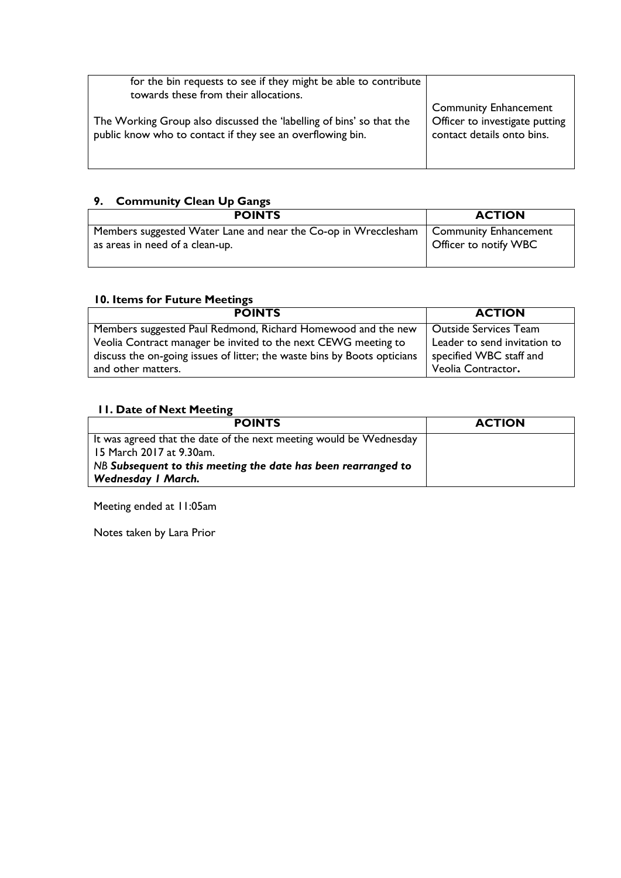| for the bin requests to see if they might be able to contribute<br>towards these from their allocations.                           |                                                                                              |
|------------------------------------------------------------------------------------------------------------------------------------|----------------------------------------------------------------------------------------------|
| The Working Group also discussed the 'labelling of bins' so that the<br>public know who to contact if they see an overflowing bin. | <b>Community Enhancement</b><br>Officer to investigate putting<br>contact details onto bins. |

### **9. Community Clean Up Gangs**

| <b>POINTS</b>                                                  | <b>ACTION</b>                |
|----------------------------------------------------------------|------------------------------|
| Members suggested Water Lane and near the Co-op in Wrecclesham | <b>Community Enhancement</b> |
| as areas in need of a clean-up.                                | Officer to notify WBC        |

#### **10. Items for Future Meetings**

| <b>POINTS</b>                                                            | <b>ACTION</b>                |
|--------------------------------------------------------------------------|------------------------------|
| Members suggested Paul Redmond, Richard Homewood and the new             | <b>Outside Services Team</b> |
| Veolia Contract manager be invited to the next CEWG meeting to           | Leader to send invitation to |
| discuss the on-going issues of litter; the waste bins by Boots opticians | specified WBC staff and      |
| and other matters.                                                       | Veolia Contractor.           |

#### **11. Date of Next Meeting**

| <b>POINTS</b>                                                      | <b>ACTION</b> |
|--------------------------------------------------------------------|---------------|
| It was agreed that the date of the next meeting would be Wednesday |               |
| 15 March 2017 at 9.30am.                                           |               |
| NB Subsequent to this meeting the date has been rearranged to      |               |
| <b>Wednesday I March.</b>                                          |               |

Meeting ended at 11:05am

Notes taken by Lara Prior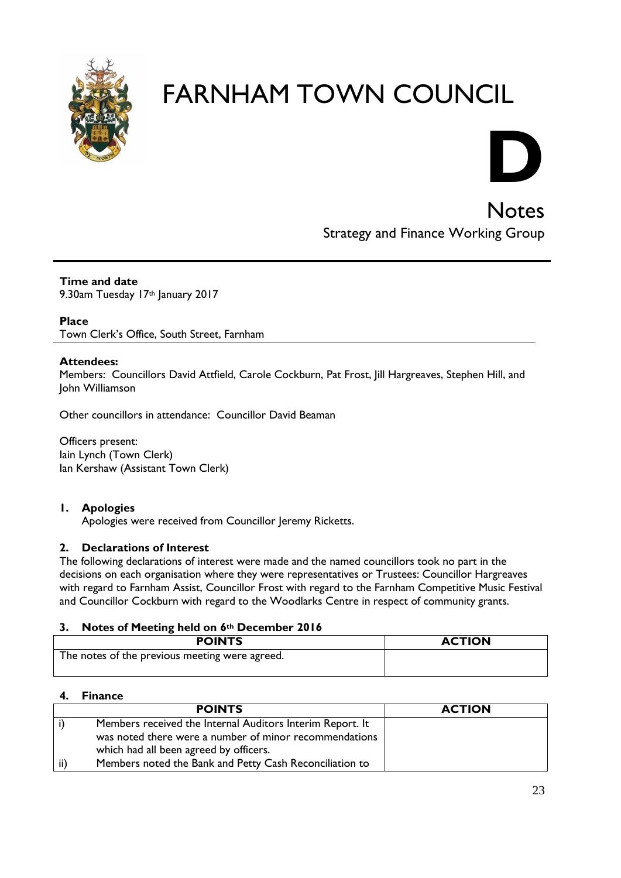

# **D**

**Notes** Strategy and Finance Working Group

**Time and date** 9.30am Tuesday 17th January 2017

#### **Place**

Town Clerk's Office, South Street, Farnham

#### **Attendees:**

Members: Councillors David Attfield, Carole Cockburn, Pat Frost, Jill Hargreaves, Stephen Hill, and John Williamson

Other councillors in attendance: Councillor David Beaman

Officers present: Iain Lynch (Town Clerk) Ian Kershaw (Assistant Town Clerk)

#### **1. Apologies**

Apologies were received from Councillor Jeremy Ricketts.

#### **2. Declarations of Interest**

The following declarations of interest were made and the named councillors took no part in the decisions on each organisation where they were representatives or Trustees: Councillor Hargreaves with regard to Farnham Assist, Councillor Frost with regard to the Farnham Competitive Music Festival and Councillor Cockburn with regard to the Woodlarks Centre in respect of community grants.

#### **3. Notes of Meeting held on 6th December 2016**

| <b>POINTS</b>                                  | <b>ACTION</b> |
|------------------------------------------------|---------------|
| The notes of the previous meeting were agreed. |               |

#### **4. Finance**

|     | <b>POINTS</b>                                             | <b>ACTION</b> |
|-----|-----------------------------------------------------------|---------------|
|     | Members received the Internal Auditors Interim Report. It |               |
|     | was noted there were a number of minor recommendations    |               |
|     | which had all been agreed by officers.                    |               |
| ii) | Members noted the Bank and Petty Cash Reconciliation to   |               |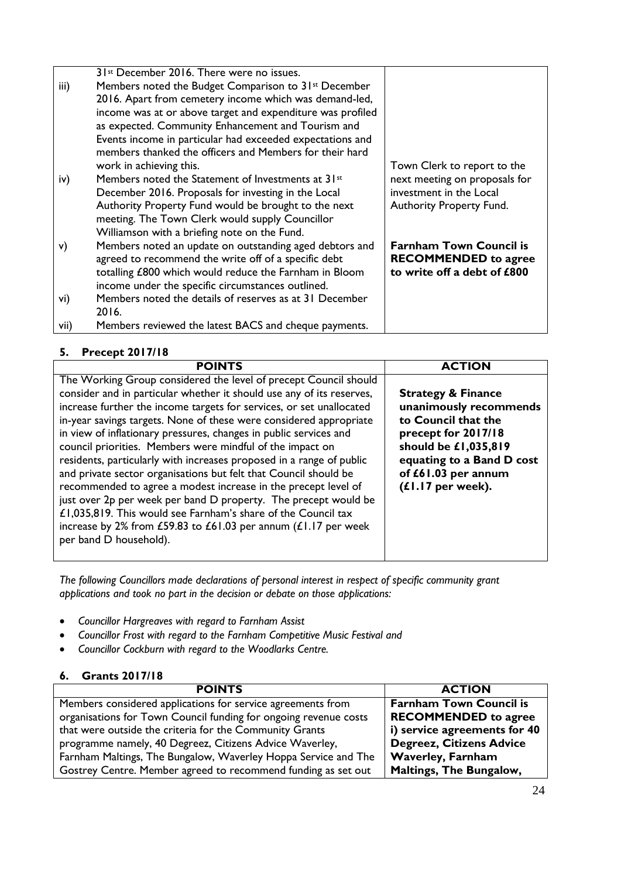|      | 31 <sup>st</sup> December 2016. There were no issues.            |                                 |
|------|------------------------------------------------------------------|---------------------------------|
| iii) | Members noted the Budget Comparison to 31 <sup>st</sup> December |                                 |
|      | 2016. Apart from cemetery income which was demand-led,           |                                 |
|      | income was at or above target and expenditure was profiled       |                                 |
|      | as expected. Community Enhancement and Tourism and               |                                 |
|      | Events income in particular had exceeded expectations and        |                                 |
|      | members thanked the officers and Members for their hard          |                                 |
|      | work in achieving this.                                          | Town Clerk to report to the     |
| iv)  | Members noted the Statement of Investments at 31st               | next meeting on proposals for   |
|      | December 2016. Proposals for investing in the Local              | investment in the Local         |
|      | Authority Property Fund would be brought to the next             | <b>Authority Property Fund.</b> |
|      | meeting. The Town Clerk would supply Councillor                  |                                 |
|      | Williamson with a briefing note on the Fund.                     |                                 |
| V)   | Members noted an update on outstanding aged debtors and          | <b>Farnham Town Council is</b>  |
|      | agreed to recommend the write off of a specific debt             | <b>RECOMMENDED</b> to agree     |
|      | totalling £800 which would reduce the Farnham in Bloom           | to write off a debt of £800     |
|      | income under the specific circumstances outlined.                |                                 |
| vi)  | Members noted the details of reserves as at 31 December          |                                 |
|      | 2016.                                                            |                                 |
| vii) | Members reviewed the latest BACS and cheque payments.            |                                 |

#### **5. Precept 2017/18**

| <b>POINTS</b>                                                                                                                                                                                                                                                                                                                                                                                                                                                                                                                                                                                                                                                                                                                                                                                                                                                             | <b>ACTION</b>                                                                                                                                                                                            |
|---------------------------------------------------------------------------------------------------------------------------------------------------------------------------------------------------------------------------------------------------------------------------------------------------------------------------------------------------------------------------------------------------------------------------------------------------------------------------------------------------------------------------------------------------------------------------------------------------------------------------------------------------------------------------------------------------------------------------------------------------------------------------------------------------------------------------------------------------------------------------|----------------------------------------------------------------------------------------------------------------------------------------------------------------------------------------------------------|
| The Working Group considered the level of precept Council should<br>consider and in particular whether it should use any of its reserves,<br>increase further the income targets for services, or set unallocated<br>in-year savings targets. None of these were considered appropriate<br>in view of inflationary pressures, changes in public services and<br>council priorities. Members were mindful of the impact on<br>residents, particularly with increases proposed in a range of public<br>and private sector organisations but felt that Council should be<br>recommended to agree a modest increase in the precept level of<br>just over 2p per week per band D property. The precept would be<br>£1,035,819. This would see Farnham's share of the Council tax<br>increase by 2% from £59.83 to £61.03 per annum $(E1.17$ per week<br>per band D household). | <b>Strategy &amp; Finance</b><br>unanimously recommends<br>to Council that the<br>precept for 2017/18<br>should be £1,035,819<br>equating to a Band D cost<br>of £61.03 per annum<br>$(£1.17$ per week). |

*The following Councillors made declarations of personal interest in respect of specific community grant applications and took no part in the decision or debate on those applications:*

- *Councillor Hargreaves with regard to Farnham Assist*
- *Councillor Frost with regard to the Farnham Competitive Music Festival and*
- *Councillor Cockburn with regard to the Woodlarks Centre.*

#### **6. Grants 2017/18**

| <b>POINTS</b>                                                    | <b>ACTION</b>                   |
|------------------------------------------------------------------|---------------------------------|
| Members considered applications for service agreements from      | <b>Farnham Town Council is</b>  |
| organisations for Town Council funding for ongoing revenue costs | <b>RECOMMENDED</b> to agree     |
| that were outside the criteria for the Community Grants          | i) service agreements for 40    |
| programme namely, 40 Degreez, Citizens Advice Waverley,          | <b>Degreez, Citizens Advice</b> |
| Farnham Maltings, The Bungalow, Waverley Hoppa Service and The   | <b>Waverley, Farnham</b>        |
| Gostrey Centre. Member agreed to recommend funding as set out    | <b>Maltings, The Bungalow,</b>  |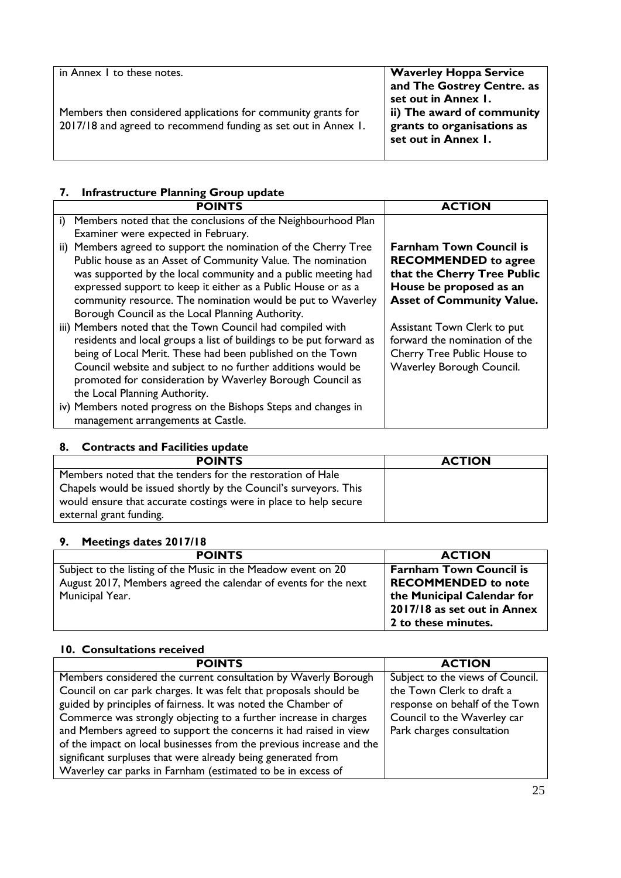#### **7. Infrastructure Planning Group update**

|    | <b>POINTS</b>                                                                                                                                                                                                                                                                                                                                                                       | <b>ACTION</b>                                                                                                                                               |
|----|-------------------------------------------------------------------------------------------------------------------------------------------------------------------------------------------------------------------------------------------------------------------------------------------------------------------------------------------------------------------------------------|-------------------------------------------------------------------------------------------------------------------------------------------------------------|
| i) | Members noted that the conclusions of the Neighbourhood Plan<br>Examiner were expected in February.                                                                                                                                                                                                                                                                                 |                                                                                                                                                             |
|    | ii) Members agreed to support the nomination of the Cherry Tree<br>Public house as an Asset of Community Value. The nomination<br>was supported by the local community and a public meeting had<br>expressed support to keep it either as a Public House or as a<br>community resource. The nomination would be put to Waverley<br>Borough Council as the Local Planning Authority. | <b>Farnham Town Council is</b><br><b>RECOMMENDED</b> to agree<br>that the Cherry Tree Public<br>House be proposed as an<br><b>Asset of Community Value.</b> |
|    | iii) Members noted that the Town Council had compiled with<br>residents and local groups a list of buildings to be put forward as<br>being of Local Merit. These had been published on the Town<br>Council website and subject to no further additions would be<br>promoted for consideration by Waverley Borough Council as<br>the Local Planning Authority.                       | Assistant Town Clerk to put<br>forward the nomination of the<br>Cherry Tree Public House to<br>Waverley Borough Council.                                    |
|    | iv) Members noted progress on the Bishops Steps and changes in<br>management arrangements at Castle.                                                                                                                                                                                                                                                                                |                                                                                                                                                             |

#### **8. Contracts and Facilities update**

| <b>POINTS</b>                                                    | <b>ACTION</b> |
|------------------------------------------------------------------|---------------|
| Members noted that the tenders for the restoration of Hale       |               |
| Chapels would be issued shortly by the Council's surveyors. This |               |
| would ensure that accurate costings were in place to help secure |               |
| external grant funding.                                          |               |

#### **9. Meetings dates 2017/18**

| <b>POINTS</b>                                                   | <b>ACTION</b>                  |
|-----------------------------------------------------------------|--------------------------------|
| Subject to the listing of the Music in the Meadow event on 20   | <b>Farnham Town Council is</b> |
| August 2017, Members agreed the calendar of events for the next | <b>RECOMMENDED</b> to note     |
| Municipal Year.                                                 | the Municipal Calendar for     |
|                                                                 | 2017/18 as set out in Annex    |
|                                                                 | 2 to these minutes.            |

#### **10. Consultations received**

| <b>POINTS</b>                                                        | <b>ACTION</b>                    |
|----------------------------------------------------------------------|----------------------------------|
| Members considered the current consultation by Waverly Borough       | Subject to the views of Council. |
| Council on car park charges. It was felt that proposals should be    | the Town Clerk to draft a        |
| guided by principles of fairness. It was noted the Chamber of        | response on behalf of the Town   |
| Commerce was strongly objecting to a further increase in charges     | Council to the Waverley car      |
| and Members agreed to support the concerns it had raised in view     | Park charges consultation        |
| of the impact on local businesses from the previous increase and the |                                  |
| significant surpluses that were already being generated from         |                                  |
| Waverley car parks in Farnham (estimated to be in excess of          |                                  |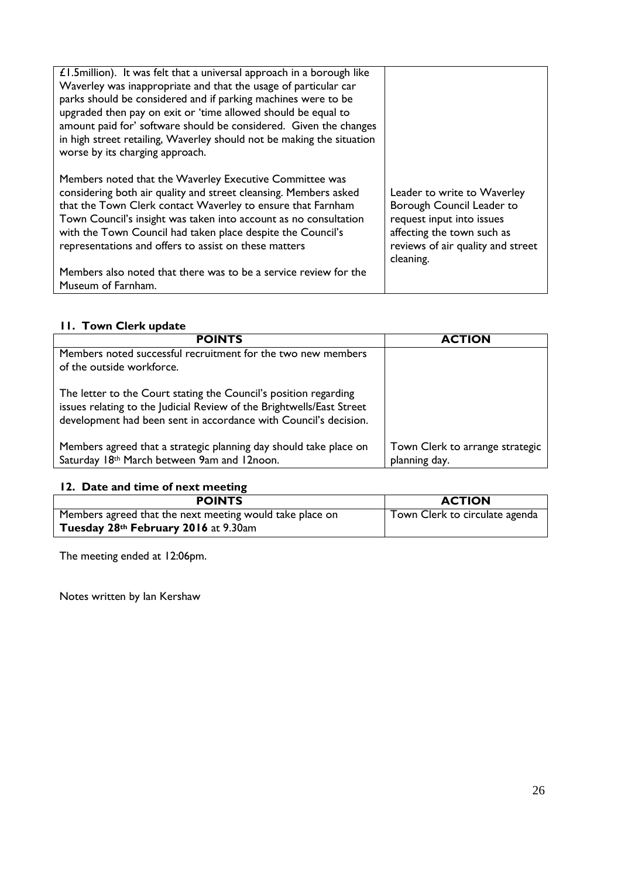| $£1.5$ million). It was felt that a universal approach in a borough like<br>Waverley was inappropriate and that the usage of particular car<br>parks should be considered and if parking machines were to be<br>upgraded then pay on exit or 'time allowed should be equal to<br>amount paid for' software should be considered. Given the changes<br>in high street retailing, Waverley should not be making the situation<br>worse by its charging approach. |                                                                                                                                                                       |
|----------------------------------------------------------------------------------------------------------------------------------------------------------------------------------------------------------------------------------------------------------------------------------------------------------------------------------------------------------------------------------------------------------------------------------------------------------------|-----------------------------------------------------------------------------------------------------------------------------------------------------------------------|
| Members noted that the Waverley Executive Committee was<br>considering both air quality and street cleansing. Members asked<br>that the Town Clerk contact Waverley to ensure that Farnham<br>Town Council's insight was taken into account as no consultation<br>with the Town Council had taken place despite the Council's<br>representations and offers to assist on these matters                                                                         | Leader to write to Waverley<br>Borough Council Leader to<br>request input into issues<br>affecting the town such as<br>reviews of air quality and street<br>cleaning. |
| Members also noted that there was to be a service review for the<br>Museum of Farnham.                                                                                                                                                                                                                                                                                                                                                                         |                                                                                                                                                                       |

#### **11. Town Clerk update**

| <b>POINTS</b>                                                                                                                                                                                                 | <b>ACTION</b>                                    |
|---------------------------------------------------------------------------------------------------------------------------------------------------------------------------------------------------------------|--------------------------------------------------|
| Members noted successful recruitment for the two new members<br>of the outside workforce.                                                                                                                     |                                                  |
| The letter to the Court stating the Council's position regarding<br>issues relating to the Judicial Review of the Brightwells/East Street<br>development had been sent in accordance with Council's decision. |                                                  |
| Members agreed that a strategic planning day should take place on<br>Saturday 18th March between 9am and 12noon.                                                                                              | Town Clerk to arrange strategic<br>planning day. |

#### **12. Date and time of next meeting**

| <b>POINTS</b>                                            | <b>ACTION</b>                  |
|----------------------------------------------------------|--------------------------------|
| Members agreed that the next meeting would take place on | Town Clerk to circulate agenda |
| Tuesday 28th February 2016 at 9.30am                     |                                |

The meeting ended at 12:06pm.

Notes written by Ian Kershaw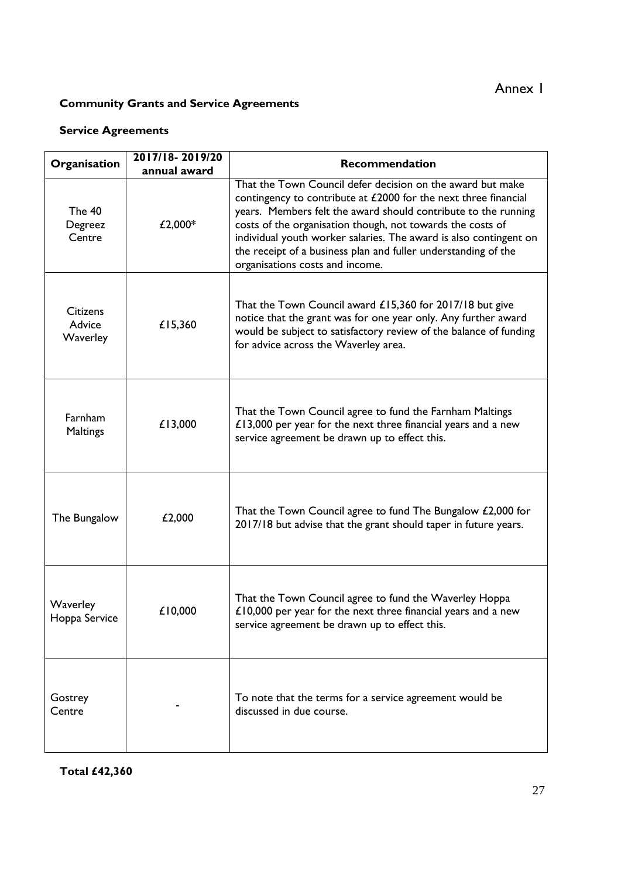### **Community Grants and Service Agreements**

#### **Service Agreements**

| Organisation                          | 2017/18-2019/20<br>annual award | <b>Recommendation</b>                                                                                                                                                                                                                                                                                                                                                                                                                   |
|---------------------------------------|---------------------------------|-----------------------------------------------------------------------------------------------------------------------------------------------------------------------------------------------------------------------------------------------------------------------------------------------------------------------------------------------------------------------------------------------------------------------------------------|
| <b>The 40</b><br>Degreez<br>Centre    | £2,000*                         | That the Town Council defer decision on the award but make<br>contingency to contribute at £2000 for the next three financial<br>years. Members felt the award should contribute to the running<br>costs of the organisation though, not towards the costs of<br>individual youth worker salaries. The award is also contingent on<br>the receipt of a business plan and fuller understanding of the<br>organisations costs and income. |
| <b>Citizens</b><br>Advice<br>Waverley | £15,360                         | That the Town Council award £15,360 for 2017/18 but give<br>notice that the grant was for one year only. Any further award<br>would be subject to satisfactory review of the balance of funding<br>for advice across the Waverley area.                                                                                                                                                                                                 |
| Farnham<br>Maltings                   | £13,000                         | That the Town Council agree to fund the Farnham Maltings<br>$£13,000$ per year for the next three financial years and a new<br>service agreement be drawn up to effect this.                                                                                                                                                                                                                                                            |
| The Bungalow                          | £2,000                          | That the Town Council agree to fund The Bungalow £2,000 for<br>2017/18 but advise that the grant should taper in future years.                                                                                                                                                                                                                                                                                                          |
| Waverley<br>Hoppa Service             | £10,000                         | That the Town Council agree to fund the Waverley Hoppa<br>£10,000 per year for the next three financial years and a new<br>service agreement be drawn up to effect this.                                                                                                                                                                                                                                                                |
| Gostrey<br>Centre                     |                                 | To note that the terms for a service agreement would be<br>discussed in due course.                                                                                                                                                                                                                                                                                                                                                     |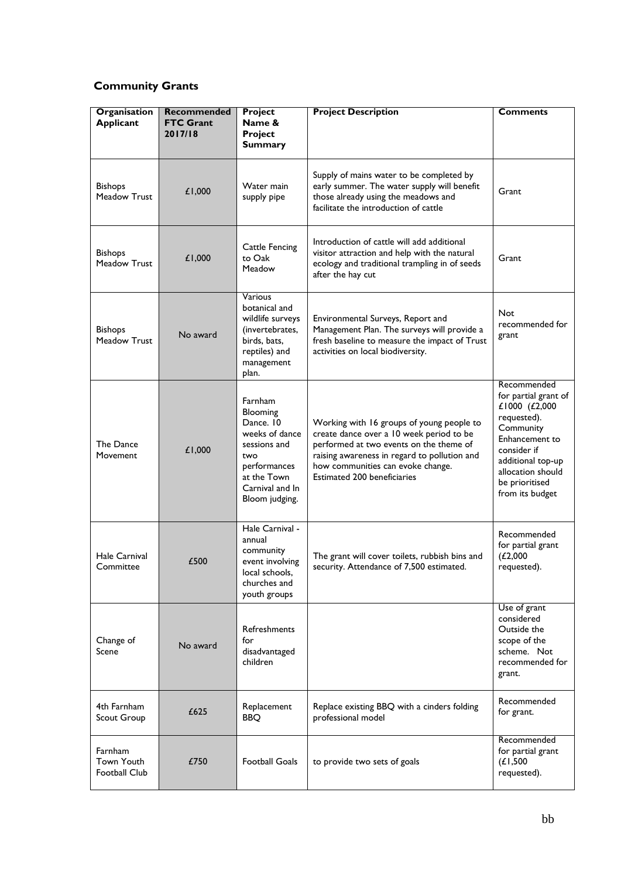#### **Community Grants**

| Organisation<br><b>Applicant</b>                     | Recommended<br><b>FTC Grant</b><br>2017/18 | <b>Project</b><br>Name &<br><b>Project</b><br><b>Summary</b>                                                                                  | <b>Project Description</b>                                                                                                                                                                                                                                  | <b>Comments</b>                                                                                                                                                                                  |
|------------------------------------------------------|--------------------------------------------|-----------------------------------------------------------------------------------------------------------------------------------------------|-------------------------------------------------------------------------------------------------------------------------------------------------------------------------------------------------------------------------------------------------------------|--------------------------------------------------------------------------------------------------------------------------------------------------------------------------------------------------|
| <b>Bishops</b><br>Meadow Trust                       | £1,000                                     | Water main<br>supply pipe                                                                                                                     | Supply of mains water to be completed by<br>early summer. The water supply will benefit<br>those already using the meadows and<br>facilitate the introduction of cattle                                                                                     | Grant                                                                                                                                                                                            |
| <b>Bishops</b><br><b>Meadow Trust</b>                | £1,000                                     | Cattle Fencing<br>to Oak<br>Meadow                                                                                                            | Introduction of cattle will add additional<br>visitor attraction and help with the natural<br>ecology and traditional trampling in of seeds<br>after the hay cut                                                                                            | Grant                                                                                                                                                                                            |
| <b>Bishops</b><br><b>Meadow Trust</b>                | No award                                   | Various<br>botanical and<br>wildlife surveys<br>(invertebrates,<br>birds, bats,<br>reptiles) and<br>management<br>plan.                       | Environmental Surveys, Report and<br>Management Plan. The surveys will provide a<br>fresh baseline to measure the impact of Trust<br>activities on local biodiversity.                                                                                      | <b>Not</b><br>recommended for<br>grant                                                                                                                                                           |
| The Dance<br>Movement                                | £1,000                                     | Farnham<br>Blooming<br>Dance. 10<br>weeks of dance<br>sessions and<br>two<br>performances<br>at the Town<br>Carnival and In<br>Bloom judging. | Working with 16 groups of young people to<br>create dance over a 10 week period to be<br>performed at two events on the theme of<br>raising awareness in regard to pollution and<br>how communities can evoke change.<br><b>Estimated 200 beneficiaries</b> | Recommended<br>for partial grant of<br>£1000 (£2,000<br>requested).<br>Community<br>Enhancement to<br>consider if<br>additional top-up<br>allocation should<br>be prioritised<br>from its budget |
| Hale Carnival<br>Committee                           | £500                                       | Hale Carnival -<br>annual<br>community<br>event involving<br>local schools,<br>churches and<br>youth groups                                   | The grant will cover toilets, rubbish bins and<br>security. Attendance of 7,500 estimated.                                                                                                                                                                  | Recommended<br>for partial grant<br>(L2,000)<br>requested).                                                                                                                                      |
| Change of<br>Scene                                   | No award                                   | <b>Refreshments</b><br>for<br>disadvantaged<br>children                                                                                       |                                                                                                                                                                                                                                                             | Use of grant<br>considered<br>Outside the<br>scope of the<br>scheme. Not<br>recommended for<br>grant.                                                                                            |
| 4th Farnham<br>Scout Group                           | £625                                       | Replacement<br><b>BBQ</b>                                                                                                                     | Replace existing BBQ with a cinders folding<br>professional model                                                                                                                                                                                           | Recommended<br>for grant.                                                                                                                                                                        |
| Farnham<br><b>Town Youth</b><br><b>Football Club</b> | £750                                       | <b>Football Goals</b>                                                                                                                         | to provide two sets of goals                                                                                                                                                                                                                                | Recommended<br>for partial grant<br>(L1,500)<br>requested).                                                                                                                                      |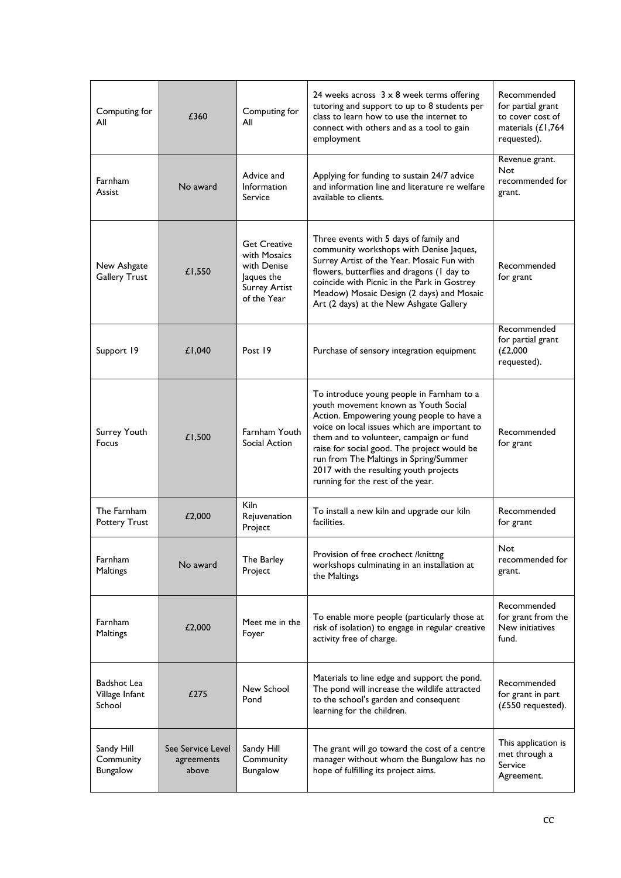| Computing for<br>All                       | £360                                     | Computing for<br>All                                                                                    | 24 weeks across $3 \times 8$ week terms offering<br>tutoring and support to up to 8 students per<br>class to learn how to use the internet to<br>connect with others and as a tool to gain<br>employment                                                                                                                                                                                          | Recommended<br>for partial grant<br>to cover cost of<br>materials (£1,764<br>requested). |
|--------------------------------------------|------------------------------------------|---------------------------------------------------------------------------------------------------------|---------------------------------------------------------------------------------------------------------------------------------------------------------------------------------------------------------------------------------------------------------------------------------------------------------------------------------------------------------------------------------------------------|------------------------------------------------------------------------------------------|
| Farnham<br>Assist                          | No award                                 | Advice and<br>Information<br>Service                                                                    | Applying for funding to sustain 24/7 advice<br>and information line and literature re welfare<br>available to clients.                                                                                                                                                                                                                                                                            | Revenue grant.<br>Not<br>recommended for<br>grant.                                       |
| New Ashgate<br><b>Gallery Trust</b>        | £1,550                                   | <b>Get Creative</b><br>with Mosaics<br>with Denise<br>Jaques the<br><b>Surrey Artist</b><br>of the Year | Three events with 5 days of family and<br>community workshops with Denise Jaques,<br>Surrey Artist of the Year. Mosaic Fun with<br>flowers, butterflies and dragons (I day to<br>coincide with Picnic in the Park in Gostrey<br>Meadow) Mosaic Design (2 days) and Mosaic<br>Art (2 days) at the New Ashgate Gallery                                                                              | Recommended<br>for grant                                                                 |
| Support 19                                 | £1,040                                   | Post 19                                                                                                 | Purchase of sensory integration equipment                                                                                                                                                                                                                                                                                                                                                         | Recommended<br>for partial grant<br>(L2,000)<br>requested).                              |
| Surrey Youth<br>Focus                      | £1,500                                   | Farnham Youth<br>Social Action                                                                          | To introduce young people in Farnham to a<br>youth movement known as Youth Social<br>Action. Empowering young people to have a<br>voice on local issues which are important to<br>them and to volunteer, campaign or fund<br>raise for social good. The project would be<br>run from The Maltings in Spring/Summer<br>2017 with the resulting youth projects<br>running for the rest of the year. | Recommended<br>for grant                                                                 |
| The Farnham<br><b>Pottery Trust</b>        | £2,000                                   | Kiln<br>Rejuvenation<br>Project                                                                         | To install a new kiln and upgrade our kiln<br>facilities.                                                                                                                                                                                                                                                                                                                                         | Recommended<br>for grant                                                                 |
| Farnham<br>Maltings                        | No award                                 | The Barley<br>Project                                                                                   | Provision of free crochect /knittng<br>workshops culminating in an installation at<br>the Maltings                                                                                                                                                                                                                                                                                                | Not<br>recommended for<br>grant.                                                         |
| Farnham<br>Maltings                        | £2,000                                   | Meet me in the<br>Foyer                                                                                 | To enable more people (particularly those at<br>risk of isolation) to engage in regular creative<br>activity free of charge.                                                                                                                                                                                                                                                                      | Recommended<br>for grant from the<br>New initiatives<br>fund.                            |
| Badshot Lea<br>Village Infant<br>School    | £275                                     | New School<br>Pond                                                                                      | Materials to line edge and support the pond.<br>The pond will increase the wildlife attracted<br>to the school's garden and consequent<br>learning for the children.                                                                                                                                                                                                                              | Recommended<br>for grant in part<br>(£550 requested).                                    |
| Sandy Hill<br>Community<br><b>Bungalow</b> | See Service Level<br>agreements<br>above | Sandy Hill<br>Community<br>Bungalow                                                                     | The grant will go toward the cost of a centre<br>manager without whom the Bungalow has no<br>hope of fulfilling its project aims.                                                                                                                                                                                                                                                                 | This application is<br>met through a<br>Service<br>Agreement.                            |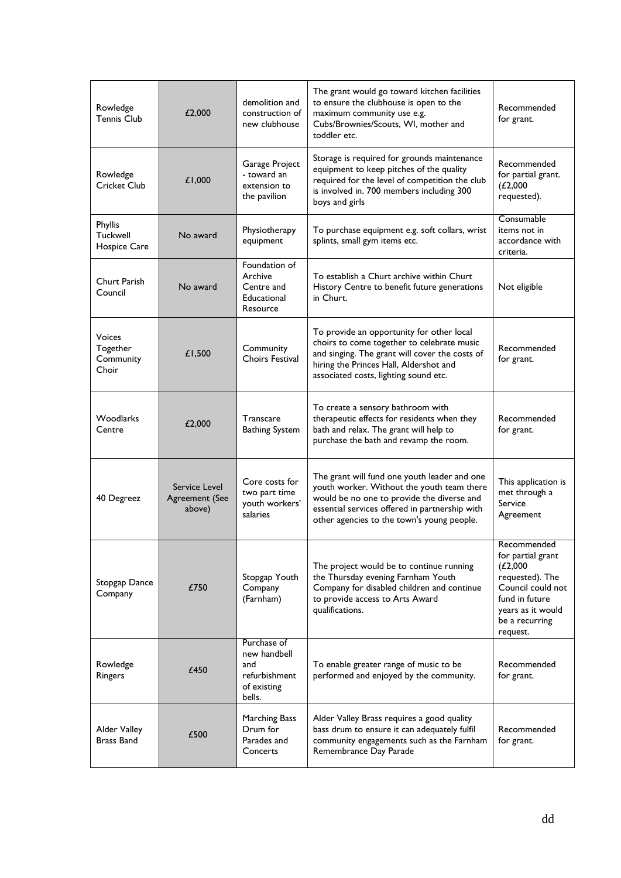| Rowledge<br><b>Tennis Club</b>                  | £2,000                                    | demolition and<br>construction of<br>new clubhouse                           | The grant would go toward kitchen facilities<br>to ensure the clubhouse is open to the<br>maximum community use e.g.<br>Cubs/Brownies/Scouts, WI, mother and<br>toddler etc.                                                             | Recommended<br>for grant.                                                                                                                                 |
|-------------------------------------------------|-------------------------------------------|------------------------------------------------------------------------------|------------------------------------------------------------------------------------------------------------------------------------------------------------------------------------------------------------------------------------------|-----------------------------------------------------------------------------------------------------------------------------------------------------------|
| Rowledge<br>Cricket Club                        | £1,000                                    | Garage Project<br>- toward an<br>extension to<br>the pavilion                | Storage is required for grounds maintenance<br>equipment to keep pitches of the quality<br>required for the level of competition the club<br>is involved in. 700 members including 300<br>boys and girls                                 | Recommended<br>for partial grant.<br>(L2,000)<br>requested).                                                                                              |
| Phyllis<br>Tuckwell<br>Hospice Care             | No award                                  | Physiotherapy<br>equipment                                                   | To purchase equipment e.g. soft collars, wrist<br>splints, small gym items etc.                                                                                                                                                          | Consumable<br>items not in<br>accordance with<br>criteria.                                                                                                |
| Churt Parish<br>Council                         | No award                                  | Foundation of<br>Archive<br>Centre and<br>Educational<br>Resource            | To establish a Churt archive within Churt<br>History Centre to benefit future generations<br>in Churt.                                                                                                                                   | Not eligible                                                                                                                                              |
| <b>Voices</b><br>Together<br>Community<br>Choir | £1,500                                    | Community<br><b>Choirs Festival</b>                                          | To provide an opportunity for other local<br>choirs to come together to celebrate music<br>and singing. The grant will cover the costs of<br>hiring the Princes Hall, Aldershot and<br>associated costs, lighting sound etc.             | Recommended<br>for grant.                                                                                                                                 |
| Woodlarks<br>Centre                             | £2,000                                    | Transcare<br><b>Bathing System</b>                                           | To create a sensory bathroom with<br>therapeutic effects for residents when they<br>bath and relax. The grant will help to<br>purchase the bath and revamp the room.                                                                     | Recommended<br>for grant.                                                                                                                                 |
| 40 Degreez                                      | Service Level<br>Agreement (See<br>above) | Core costs for<br>two part time<br>youth workers'<br>salaries                | The grant will fund one youth leader and one<br>youth worker. Without the youth team there<br>would be no one to provide the diverse and<br>essential services offered in partnership with<br>other agencies to the town's young people. | This application is<br>met through a<br>Service<br>Agreement                                                                                              |
| Stopgap Dance<br>Company                        | £750                                      | Stopgap Youth<br>Company<br>(Farnham)                                        | The project would be to continue running<br>the Thursday evening Farnham Youth<br>Company for disabled children and continue<br>to provide access to Arts Award<br>qualifications.                                                       | Recommended<br>for partial grant<br>(L2,000)<br>requested). The<br>Council could not<br>fund in future<br>years as it would<br>be a recurring<br>request. |
| Rowledge<br>Ringers                             | £450                                      | Purchase of<br>new handbell<br>and<br>refurbishment<br>of existing<br>bells. | To enable greater range of music to be<br>performed and enjoyed by the community.                                                                                                                                                        | Recommended<br>for grant.                                                                                                                                 |
| Alder Valley<br>Brass Band                      | £500                                      | Marching Bass<br>Drum for<br>Parades and<br>Concerts                         | Alder Valley Brass requires a good quality<br>bass drum to ensure it can adequately fulfil<br>community engagements such as the Farnham<br>Remembrance Day Parade                                                                        | Recommended<br>for grant.                                                                                                                                 |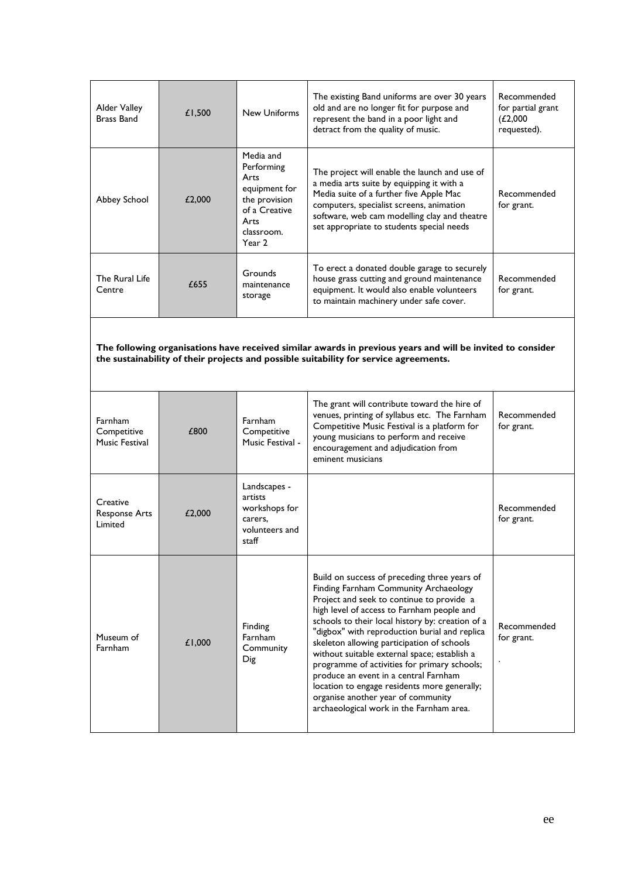| Alder Valley<br>Brass Band                      | £1,500 | <b>New Uniforms</b>                                                                                                | The existing Band uniforms are over 30 years<br>old and are no longer fit for purpose and<br>represent the band in a poor light and<br>detract from the quality of music.                                                                                                                                                                                                                                                                                                                                                                                                                                      | Recommended<br>for partial grant<br>(L2,000)<br>requested). |
|-------------------------------------------------|--------|--------------------------------------------------------------------------------------------------------------------|----------------------------------------------------------------------------------------------------------------------------------------------------------------------------------------------------------------------------------------------------------------------------------------------------------------------------------------------------------------------------------------------------------------------------------------------------------------------------------------------------------------------------------------------------------------------------------------------------------------|-------------------------------------------------------------|
| Abbey School                                    | £2,000 | Media and<br>Performing<br>Arts<br>equipment for<br>the provision<br>of a Creative<br>Arts<br>classroom.<br>Year 2 | The project will enable the launch and use of<br>a media arts suite by equipping it with a<br>Media suite of a further five Apple Mac<br>computers, specialist screens, animation<br>software, web cam modelling clay and theatre<br>set appropriate to students special needs                                                                                                                                                                                                                                                                                                                                 | Recommended<br>for grant.                                   |
| The Rural Life<br>Centre                        | £655   | Grounds<br>maintenance<br>storage                                                                                  | To erect a donated double garage to securely<br>house grass cutting and ground maintenance<br>equipment. It would also enable volunteers<br>to maintain machinery under safe cover.                                                                                                                                                                                                                                                                                                                                                                                                                            | Recommended<br>for grant.                                   |
|                                                 |        |                                                                                                                    | The following organisations have received similar awards in previous years and will be invited to consider<br>the sustainability of their projects and possible suitability for service agreements.                                                                                                                                                                                                                                                                                                                                                                                                            |                                                             |
| <b>Farnham</b><br>Competitive<br>Music Festival | £800   | Farnham<br>Competitive<br>Music Festival -                                                                         | The grant will contribute toward the hire of<br>venues, printing of syllabus etc. The Farnham<br>Competitive Music Festival is a platform for<br>young musicians to perform and receive<br>encouragement and adjudication from<br>eminent musicians                                                                                                                                                                                                                                                                                                                                                            | Recommended<br>for grant.                                   |
| Creative<br><b>Response Arts</b><br>Limited     | £2,000 | Landscapes -<br>artists<br>workshops for<br>carers,<br>volunteers and<br>staff                                     |                                                                                                                                                                                                                                                                                                                                                                                                                                                                                                                                                                                                                | Recommended<br>for grant.                                   |
| Museum of<br><b>Farnham</b>                     | £1,000 | Finding<br>Farnham<br>Community<br>Dig                                                                             | Build on success of preceding three years of<br>Finding Farnham Community Archaeology<br>Project and seek to continue to provide a<br>high level of access to Farnham people and<br>schools to their local history by: creation of a<br>"digbox" with reproduction burial and replica<br>skeleton allowing participation of schools<br>without suitable external space; establish a<br>programme of activities for primary schools;<br>produce an event in a central Farnham<br>location to engage residents more generally;<br>organise another year of community<br>archaeological work in the Farnham area. | Recommended<br>for grant.                                   |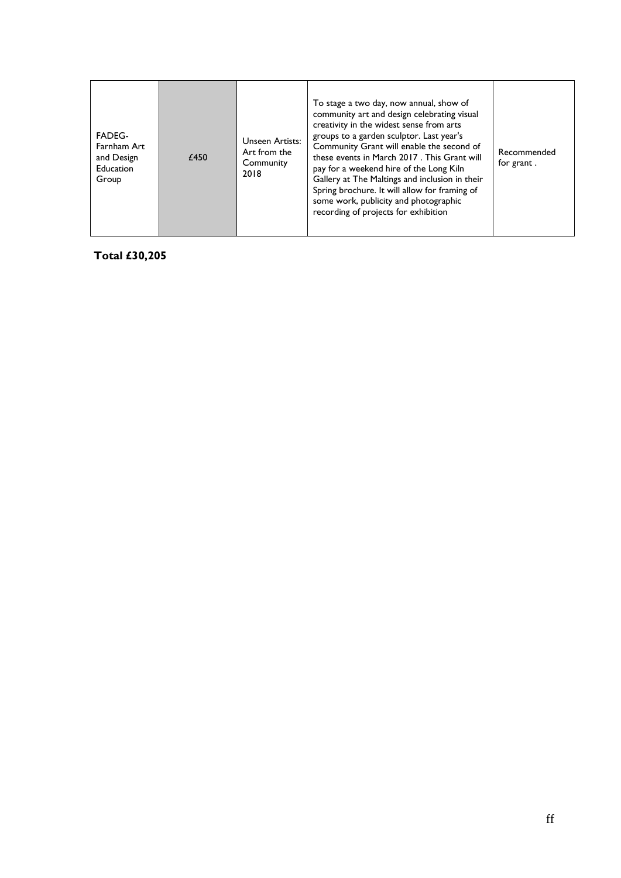| <b>FADEG-</b><br>Unseen Artists:<br>Farnham Art<br>Art from the<br>£450<br>and Design<br>Community<br>Education<br>2018<br>Group | To stage a two day, now annual, show of<br>community art and design celebrating visual<br>creativity in the widest sense from arts<br>groups to a garden sculptor. Last year's<br>Community Grant will enable the second of<br>these events in March 2017. This Grant will<br>pay for a weekend hire of the Long Kiln<br>Gallery at The Maltings and inclusion in their<br>Spring brochure. It will allow for framing of<br>some work, publicity and photographic<br>recording of projects for exhibition | Recommended<br>for grant. |
|----------------------------------------------------------------------------------------------------------------------------------|-----------------------------------------------------------------------------------------------------------------------------------------------------------------------------------------------------------------------------------------------------------------------------------------------------------------------------------------------------------------------------------------------------------------------------------------------------------------------------------------------------------|---------------------------|
|----------------------------------------------------------------------------------------------------------------------------------|-----------------------------------------------------------------------------------------------------------------------------------------------------------------------------------------------------------------------------------------------------------------------------------------------------------------------------------------------------------------------------------------------------------------------------------------------------------------------------------------------------------|---------------------------|

**Total £30,205**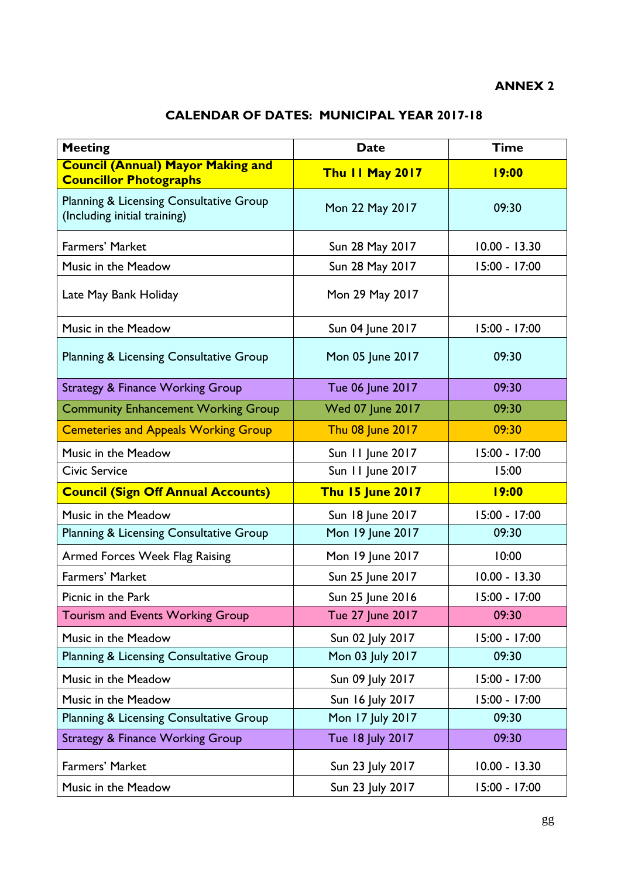#### **ANNEX 2**

## **CALENDAR OF DATES: MUNICIPAL YEAR 2017-18**

| <b>Meeting</b>                                                            | <b>Date</b>             | <b>Time</b>     |
|---------------------------------------------------------------------------|-------------------------|-----------------|
| <b>Council (Annual) Mayor Making and</b><br><b>Councillor Photographs</b> | Thu II May 2017         | <b>19:00</b>    |
| Planning & Licensing Consultative Group<br>(Including initial training)   | Mon 22 May 2017         | 09:30           |
| Farmers' Market                                                           | Sun 28 May 2017         | $10.00 - 13.30$ |
| Music in the Meadow                                                       | Sun 28 May 2017         | 15:00 - 17:00   |
| Late May Bank Holiday                                                     | Mon 29 May 2017         |                 |
| Music in the Meadow                                                       | Sun 04 June 2017        | 15:00 - 17:00   |
| Planning & Licensing Consultative Group                                   | Mon 05 June 2017        | 09:30           |
| <b>Strategy &amp; Finance Working Group</b>                               | Tue 06 June 2017        | 09:30           |
| <b>Community Enhancement Working Group</b>                                | <b>Wed 07 June 2017</b> | 09:30           |
| <b>Cemeteries and Appeals Working Group</b>                               | Thu 08 June 2017        | 09:30           |
| Music in the Meadow                                                       | Sun 11 June 2017        | $15:00 - 17:00$ |
| <b>Civic Service</b>                                                      | Sun 11 June 2017        | 15:00           |
| <b>Council (Sign Off Annual Accounts)</b>                                 | <b>Thu 15 June 2017</b> | <b>19:00</b>    |
| Music in the Meadow                                                       | Sun 18 June 2017        | 15:00 - 17:00   |
| Planning & Licensing Consultative Group                                   | Mon 19 June 2017        | 09:30           |
| Armed Forces Week Flag Raising                                            | Mon 19 June 2017        | 10:00           |
| Farmers' Market                                                           | Sun 25 June 2017        | $10.00 - 13.30$ |
| Picnic in the Park                                                        | Sun 25 June 2016        | 15:00 - 17:00   |
| Tourism and Events Working Group                                          | Tue 27 June 2017        | 09:30           |
| Music in the Meadow                                                       | Sun 02 July 2017        | 15:00 - 17:00   |
| Planning & Licensing Consultative Group                                   | Mon 03 July 2017        | 09:30           |
| Music in the Meadow                                                       | Sun 09 July 2017        | 15:00 - 17:00   |
| Music in the Meadow                                                       | Sun 16 July 2017        | 15:00 - 17:00   |
| Planning & Licensing Consultative Group                                   | Mon 17 July 2017        | 09:30           |
| <b>Strategy &amp; Finance Working Group</b>                               | Tue 18 July 2017        | 09:30           |
| Farmers' Market                                                           | Sun 23 July 2017        | $10.00 - 13.30$ |
| Music in the Meadow                                                       | Sun 23 July 2017        | 15:00 - 17:00   |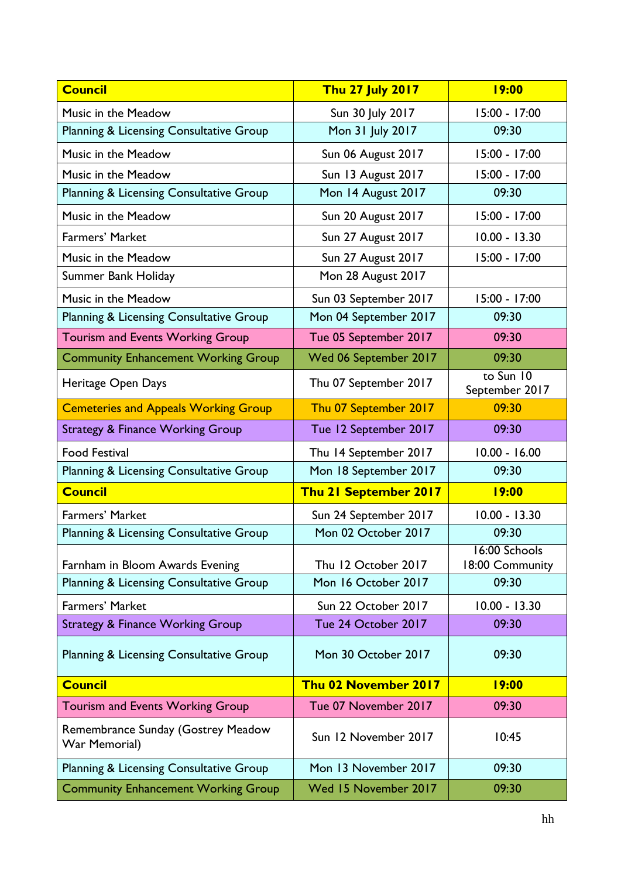| <b>Council</b>                                      | <b>Thu 27 July 2017</b>   | <b>19:00</b>                     |
|-----------------------------------------------------|---------------------------|----------------------------------|
| Music in the Meadow                                 | Sun 30 July 2017          | 15:00 - 17:00                    |
| Planning & Licensing Consultative Group             | Mon 31 July 2017          | 09:30                            |
| Music in the Meadow                                 | <b>Sun 06 August 2017</b> | $15:00 - 17:00$                  |
| Music in the Meadow                                 | Sun 13 August 2017        | $15:00 - 17:00$                  |
| Planning & Licensing Consultative Group             | Mon 14 August 2017        | 09:30                            |
| Music in the Meadow                                 | <b>Sun 20 August 2017</b> | $15:00 - 17:00$                  |
| Farmers' Market                                     | Sun 27 August 2017        | $10.00 - 13.30$                  |
| Music in the Meadow                                 | <b>Sun 27 August 2017</b> | $15:00 - 17:00$                  |
| Summer Bank Holiday                                 | Mon 28 August 2017        |                                  |
| Music in the Meadow                                 | Sun 03 September 2017     | 15:00 - 17:00                    |
| Planning & Licensing Consultative Group             | Mon 04 September 2017     | 09:30                            |
| Tourism and Events Working Group                    | Tue 05 September 2017     | 09:30                            |
| <b>Community Enhancement Working Group</b>          | Wed 06 September 2017     | 09:30                            |
| Heritage Open Days                                  | Thu 07 September 2017     | to Sun 10<br>September 2017      |
| <b>Cemeteries and Appeals Working Group</b>         | Thu 07 September 2017     | 09:30                            |
| <b>Strategy &amp; Finance Working Group</b>         | Tue 12 September 2017     | 09:30                            |
| <b>Food Festival</b>                                | Thu 14 September 2017     | $10.00 - 16.00$                  |
| Planning & Licensing Consultative Group             | Mon 18 September 2017     | 09:30                            |
| <b>Council</b>                                      | Thu 21 September 2017     | <b>19:00</b>                     |
| Farmers' Market                                     | Sun 24 September 2017     | $10.00 - 13.30$                  |
| Planning & Licensing Consultative Group             | Mon 02 October 2017       | 09:30                            |
| Farnham in Bloom Awards Evening                     | Thu 12 October 2017       | 16:00 Schools<br>18:00 Community |
| Planning & Licensing Consultative Group             | Mon 16 October 2017       | 09:30                            |
| Farmers' Market                                     | Sun 22 October 2017       | $10.00 - 13.30$                  |
| <b>Strategy &amp; Finance Working Group</b>         | Tue 24 October 2017       | 09:30                            |
| Planning & Licensing Consultative Group             | Mon 30 October 2017       | 09:30                            |
| <b>Council</b>                                      | Thu 02 November 2017      | <b>19:00</b>                     |
| <b>Tourism and Events Working Group</b>             | Tue 07 November 2017      | 09:30                            |
| Remembrance Sunday (Gostrey Meadow<br>War Memorial) | Sun 12 November 2017      | 10:45                            |
| Planning & Licensing Consultative Group             | Mon 13 November 2017      | 09:30                            |
| <b>Community Enhancement Working Group</b>          | Wed 15 November 2017      | 09:30                            |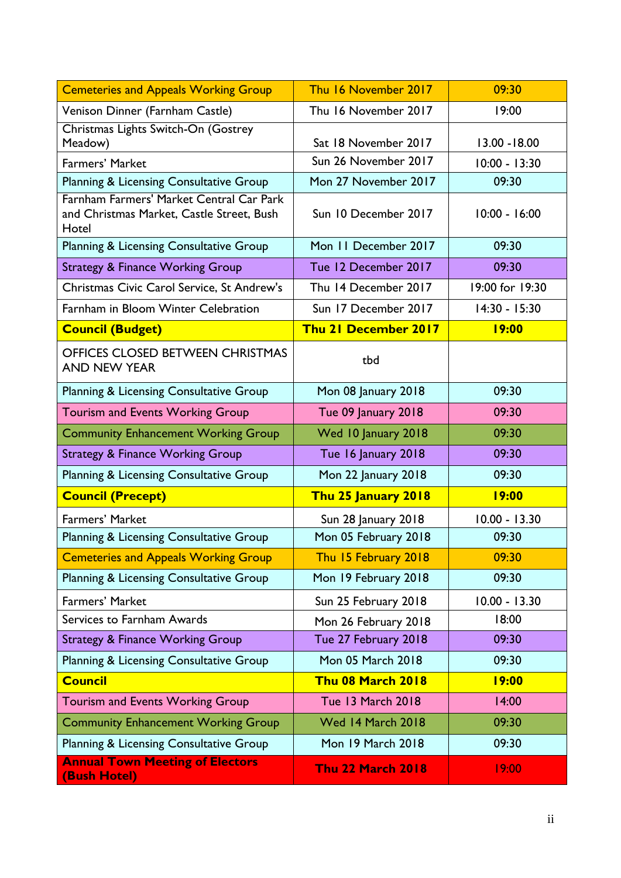| <b>Cemeteries and Appeals Working Group</b>                                                    | Thu 16 November 2017        | 09:30           |
|------------------------------------------------------------------------------------------------|-----------------------------|-----------------|
| Venison Dinner (Farnham Castle)                                                                | Thu 16 November 2017        | 19:00           |
| Christmas Lights Switch-On (Gostrey<br>Meadow)                                                 | Sat 18 November 2017        | 13.00 - 18.00   |
| Farmers' Market                                                                                | Sun 26 November 2017        | 10:00 - 13:30   |
| Planning & Licensing Consultative Group                                                        | Mon 27 November 2017        | 09:30           |
| Farnham Farmers' Market Central Car Park<br>and Christmas Market, Castle Street, Bush<br>Hotel | Sun 10 December 2017        | $10:00 - 16:00$ |
| Planning & Licensing Consultative Group                                                        | Mon 11 December 2017        | 09:30           |
| <b>Strategy &amp; Finance Working Group</b>                                                    | Tue 12 December 2017        | 09:30           |
| Christmas Civic Carol Service, St Andrew's                                                     | Thu 14 December 2017        | 19:00 for 19:30 |
| Farnham in Bloom Winter Celebration                                                            | Sun 17 December 2017        | $14:30 - 15:30$ |
| <b>Council (Budget)</b>                                                                        | <b>Thu 21 December 2017</b> | <b>19:00</b>    |
| <b>OFFICES CLOSED BETWEEN CHRISTMAS</b><br><b>AND NEW YEAR</b>                                 | tbd                         |                 |
| Planning & Licensing Consultative Group                                                        | Mon 08 January 2018         | 09:30           |
| <b>Tourism and Events Working Group</b>                                                        | Tue 09 January 2018         | 09:30           |
| <b>Community Enhancement Working Group</b>                                                     | Wed 10 January 2018         | 09:30           |
| <b>Strategy &amp; Finance Working Group</b>                                                    | Tue 16 January 2018         | 09:30           |
| Planning & Licensing Consultative Group                                                        | Mon 22 January 2018         | 09:30           |
| <b>Council (Precept)</b>                                                                       | Thu 25 January 2018         | <b>19:00</b>    |
| <b>Farmers' Market</b>                                                                         | Sun 28 January 2018         | $10.00 - 13.30$ |
| Planning & Licensing Consultative Group                                                        | Mon 05 February 2018        | 09:30           |
| <b>Cemeteries and Appeals Working Group</b>                                                    | Thu 15 February 2018        | 09:30           |
| Planning & Licensing Consultative Group                                                        | Mon 19 February 2018        | 09:30           |
| Farmers' Market                                                                                | Sun 25 February 2018        | $10.00 - 13.30$ |
| Services to Farnham Awards                                                                     | Mon 26 February 2018        | 18:00           |
| <b>Strategy &amp; Finance Working Group</b>                                                    | Tue 27 February 2018        | 09:30           |
| Planning & Licensing Consultative Group                                                        | <b>Mon 05 March 2018</b>    | 09:30           |
| <b>Council</b>                                                                                 | <b>Thu 08 March 2018</b>    | 19:00           |
| <b>Tourism and Events Working Group</b>                                                        | <b>Tue 13 March 2018</b>    | 14:00           |
| <b>Community Enhancement Working Group</b>                                                     | Wed 14 March 2018           | 09:30           |
| <b>Planning &amp; Licensing Consultative Group</b>                                             | <b>Mon 19 March 2018</b>    | 09:30           |
| <b>Annual Town Meeting of Electors</b><br>(Bush Hotel)                                         | <b>Thu 22 March 2018</b>    | 19:00           |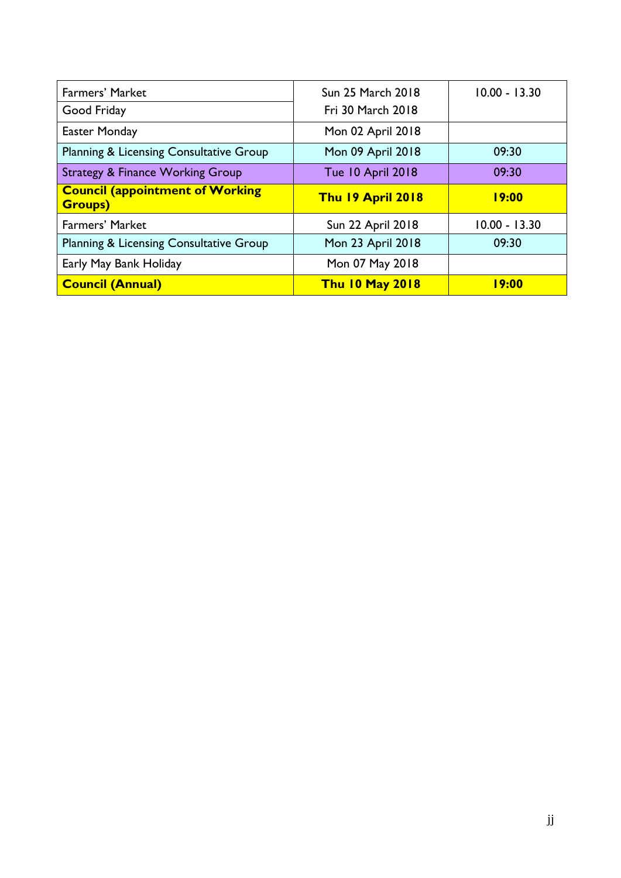| <b>Farmers' Market</b>                                   | <b>Sun 25 March 2018</b> | $10.00 - 13.30$ |
|----------------------------------------------------------|--------------------------|-----------------|
| Good Friday                                              | <b>Fri 30 March 2018</b> |                 |
| Easter Monday                                            | Mon 02 April 2018        |                 |
| Planning & Licensing Consultative Group                  | Mon 09 April 2018        | 09:30           |
| <b>Strategy &amp; Finance Working Group</b>              | <b>Tue 10 April 2018</b> | 09:30           |
| <b>Council (appointment of Working</b><br><b>Groups)</b> | Thu 19 April 2018        | 19:00           |
| <b>Farmers' Market</b>                                   | <b>Sun 22 April 2018</b> | $10.00 - 13.30$ |
| Planning & Licensing Consultative Group                  | Mon 23 April 2018        | 09:30           |
| Early May Bank Holiday                                   | Mon 07 May 2018          |                 |
|                                                          |                          |                 |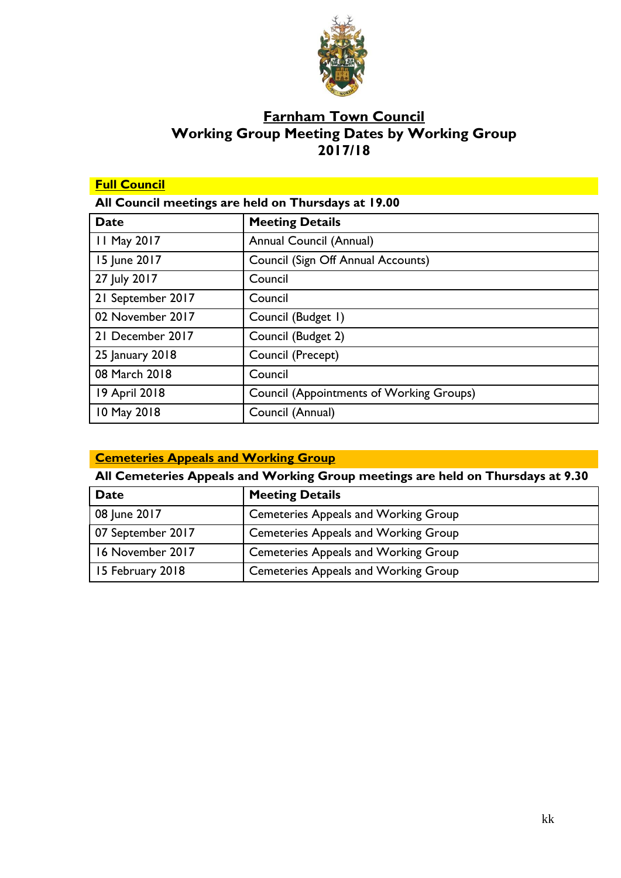

## **Farnham Town Council Working Group Meeting Dates by Working Group 2017/18**

| <b>Full Council</b> |                                                     |
|---------------------|-----------------------------------------------------|
|                     | All Council meetings are held on Thursdays at 19.00 |
| <b>Date</b>         | <b>Meeting Details</b>                              |
| 11 May 2017         | Annual Council (Annual)                             |
| 15 June 2017        | Council (Sign Off Annual Accounts)                  |
| 27 July 2017        | Council                                             |
| 21 September 2017   | Council                                             |
| 02 November 2017    | Council (Budget 1)                                  |
| 21 December 2017    | Council (Budget 2)                                  |
| 25 January 2018     | Council (Precept)                                   |
| 08 March 2018       | Council                                             |
| 19 April 2018       | <b>Council (Appointments of Working Groups)</b>     |
| 10 May 2018         | Council (Annual)                                    |

| <b>Cemeteries Appeals and Working Group</b> |  |  |
|---------------------------------------------|--|--|
|                                             |  |  |

## **All Cemeteries Appeals and Working Group meetings are held on Thursdays at 9.30**

| Date              | <b>Meeting Details</b>                      |
|-------------------|---------------------------------------------|
| 08 June 2017      | <b>Cemeteries Appeals and Working Group</b> |
| 07 September 2017 | <b>Cemeteries Appeals and Working Group</b> |
| 16 November 2017  | <b>Cemeteries Appeals and Working Group</b> |
| 15 February 2018  | <b>Cemeteries Appeals and Working Group</b> |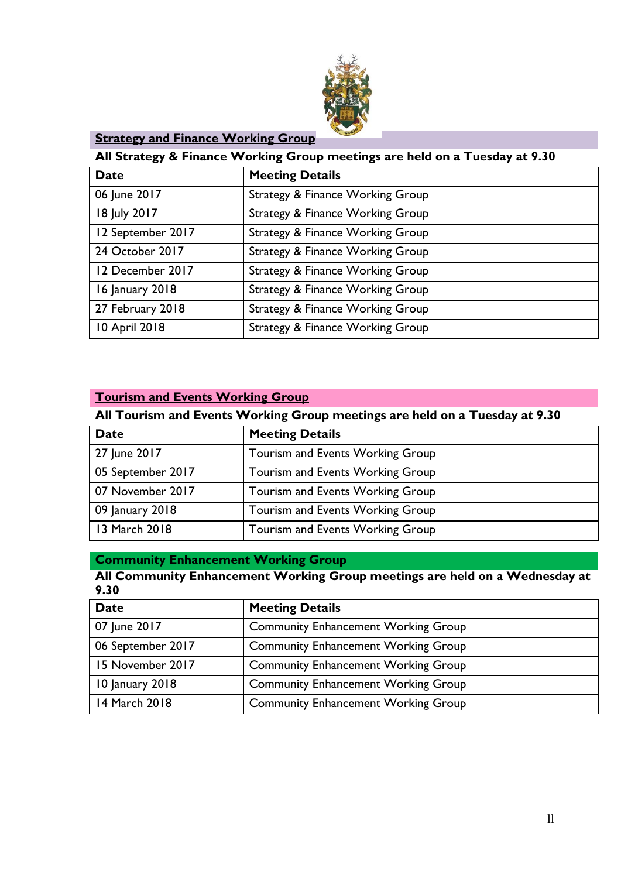

#### **Strategy and Finance Working Group**

#### **All Strategy & Finance Working Group meetings are held on a Tuesday at 9.30**

| <b>Date</b>       | <b>Meeting Details</b>                      |
|-------------------|---------------------------------------------|
| 06 June 2017      | Strategy & Finance Working Group            |
| 18 July 2017      | Strategy & Finance Working Group            |
| 12 September 2017 | <b>Strategy &amp; Finance Working Group</b> |
| 24 October 2017   | Strategy & Finance Working Group            |
| 12 December 2017  | Strategy & Finance Working Group            |
| 16 January 2018   | Strategy & Finance Working Group            |
| 27 February 2018  | Strategy & Finance Working Group            |
| 10 April 2018     | Strategy & Finance Working Group            |

#### **Tourism and Events Working Group**

#### **All Tourism and Events Working Group meetings are held on a Tuesday at 9.30**

| <b>Date</b>       | <b>Meeting Details</b>           |
|-------------------|----------------------------------|
| 27 June 2017      | Tourism and Events Working Group |
| 05 September 2017 | Tourism and Events Working Group |
| 07 November 2017  | Tourism and Events Working Group |
| 09 January 2018   | Tourism and Events Working Group |
| 13 March 2018     | Tourism and Events Working Group |

#### **Community Enhancement Working Group**

#### **All Community Enhancement Working Group meetings are held on a Wednesday at 9.30**

| <b>Date</b>       | <b>Meeting Details</b>                     |
|-------------------|--------------------------------------------|
| 07 June 2017      | <b>Community Enhancement Working Group</b> |
| 06 September 2017 | <b>Community Enhancement Working Group</b> |
| 15 November 2017  | <b>Community Enhancement Working Group</b> |
| 10 January 2018   | <b>Community Enhancement Working Group</b> |
| 14 March 2018     | <b>Community Enhancement Working Group</b> |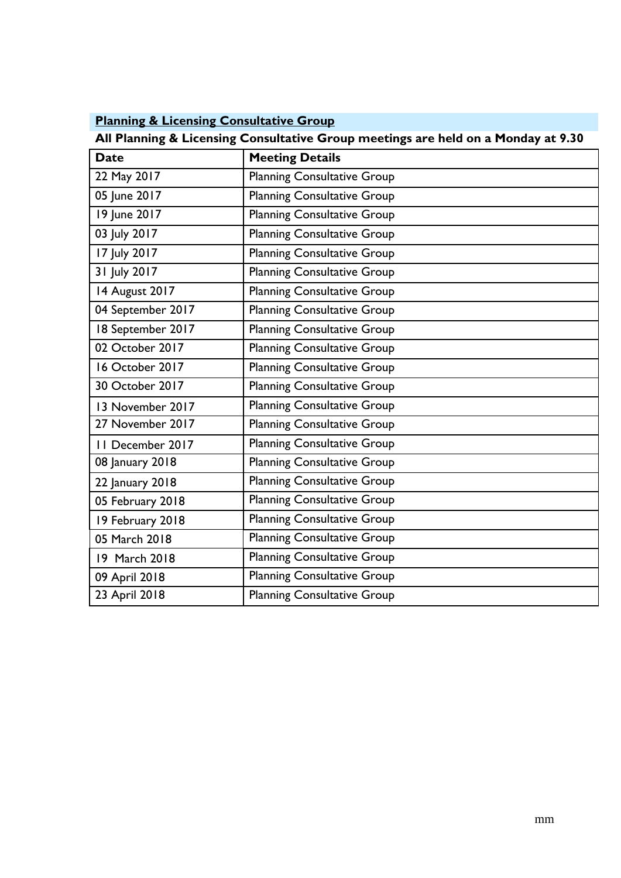| <b>Planning &amp; Licensing Consultative Group</b> |
|----------------------------------------------------|
|----------------------------------------------------|

**All Planning & Licensing Consultative Group meetings are held on a Monday at 9.30**

| <b>Date</b>       | <b>Meeting Details</b>             |
|-------------------|------------------------------------|
| 22 May 2017       | <b>Planning Consultative Group</b> |
| 05 June 2017      | <b>Planning Consultative Group</b> |
| 19 June 2017      | <b>Planning Consultative Group</b> |
| 03 July 2017      | <b>Planning Consultative Group</b> |
| 17 July 2017      | <b>Planning Consultative Group</b> |
| 31 July 2017      | <b>Planning Consultative Group</b> |
| 14 August 2017    | <b>Planning Consultative Group</b> |
| 04 September 2017 | <b>Planning Consultative Group</b> |
| 18 September 2017 | <b>Planning Consultative Group</b> |
| 02 October 2017   | <b>Planning Consultative Group</b> |
| 16 October 2017   | <b>Planning Consultative Group</b> |
| 30 October 2017   | <b>Planning Consultative Group</b> |
| 13 November 2017  | <b>Planning Consultative Group</b> |
| 27 November 2017  | <b>Planning Consultative Group</b> |
| II December 2017  | <b>Planning Consultative Group</b> |
| 08 January 2018   | <b>Planning Consultative Group</b> |
| 22 January 2018   | <b>Planning Consultative Group</b> |
| 05 February 2018  | <b>Planning Consultative Group</b> |
| 19 February 2018  | <b>Planning Consultative Group</b> |
| 05 March 2018     | <b>Planning Consultative Group</b> |
| 19 March 2018     | <b>Planning Consultative Group</b> |
| 09 April 2018     | <b>Planning Consultative Group</b> |
| 23 April 2018     | <b>Planning Consultative Group</b> |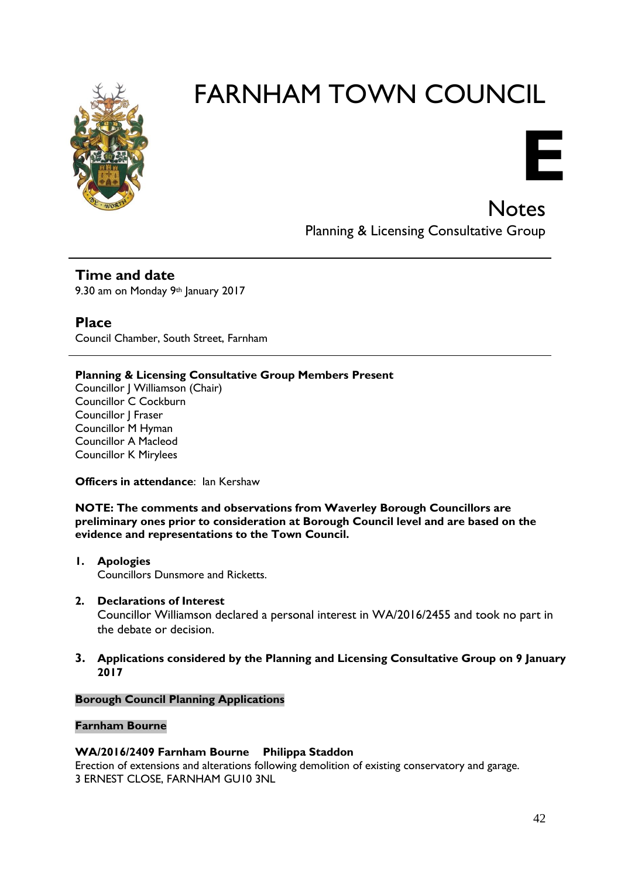

**E**

**Notes** Planning & Licensing Consultative Group

**Time and date** 9.30 am on Monday 9th January 2017

**Place** Council Chamber, South Street, Farnham

#### **Planning & Licensing Consultative Group Members Present**

Councillor J Williamson (Chair) Councillor C Cockburn Councillor J Fraser Councillor M Hyman Councillor A Macleod Councillor K Mirylees

**Officers in attendance: lan Kershaw** 

**NOTE: The comments and observations from Waverley Borough Councillors are preliminary ones prior to consideration at Borough Council level and are based on the evidence and representations to the Town Council.**

- **1. Apologies**  Councillors Dunsmore and Ricketts.
- **2. Declarations of Interest** Councillor Williamson declared a personal interest in WA/2016/2455 and took no part in the debate or decision.
- **3. Applications considered by the Planning and Licensing Consultative Group on 9 January 2017**

#### **Borough Council Planning Applications**

#### **Farnham Bourne**

#### **WA/2016/2409 Farnham Bourne Philippa Staddon**

Erection of extensions and alterations following demolition of existing conservatory and garage. 3 ERNEST CLOSE, FARNHAM GU10 3NL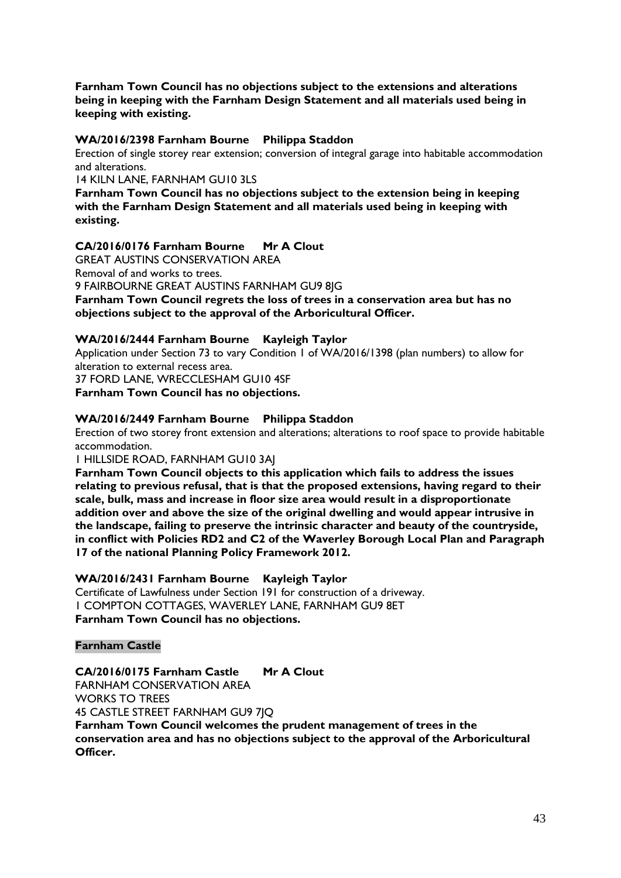**Farnham Town Council has no objections subject to the extensions and alterations being in keeping with the Farnham Design Statement and all materials used being in keeping with existing.**

#### **WA/2016/2398 Farnham Bourne Philippa Staddon**

Erection of single storey rear extension; conversion of integral garage into habitable accommodation and alterations.

14 KILN LANE, FARNHAM GU10 3LS

**Farnham Town Council has no objections subject to the extension being in keeping with the Farnham Design Statement and all materials used being in keeping with existing.**

#### **CA/2016/0176 Farnham Bourne Mr A Clout**

GREAT AUSTINS CONSERVATION AREA Removal of and works to trees. 9 FAIRBOURNE GREAT AUSTINS FARNHAM GU9 8JG **Farnham Town Council regrets the loss of trees in a conservation area but has no objections subject to the approval of the Arboricultural Officer.**

#### **WA/2016/2444 Farnham Bourne Kayleigh Taylor**

Application under Section 73 to vary Condition 1 of WA/2016/1398 (plan numbers) to allow for alteration to external recess area.

37 FORD LANE, WRECCLESHAM GU10 4SF

**Farnham Town Council has no objections.**

#### **WA/2016/2449 Farnham Bourne Philippa Staddon**

Erection of two storey front extension and alterations; alterations to roof space to provide habitable accommodation.

1 HILLSIDE ROAD, FARNHAM GU10 3AJ

**Farnham Town Council objects to this application which fails to address the issues relating to previous refusal, that is that the proposed extensions, having regard to their scale, bulk, mass and increase in floor size area would result in a disproportionate addition over and above the size of the original dwelling and would appear intrusive in the landscape, failing to preserve the intrinsic character and beauty of the countryside, in conflict with Policies RD2 and C2 of the Waverley Borough Local Plan and Paragraph 17 of the national Planning Policy Framework 2012.**

#### **WA/2016/2431 Farnham Bourne Kayleigh Taylor**

Certificate of Lawfulness under Section 191 for construction of a driveway. 1 COMPTON COTTAGES, WAVERLEY LANE, FARNHAM GU9 8ET **Farnham Town Council has no objections.**

#### **Farnham Castle**

**CA/2016/0175 Farnham Castle Mr A Clout** FARNHAM CONSERVATION AREA WORKS TO TREES 45 CASTLE STREET FARNHAM GU9 7JQ **Farnham Town Council welcomes the prudent management of trees in the conservation area and has no objections subject to the approval of the Arboricultural Officer.**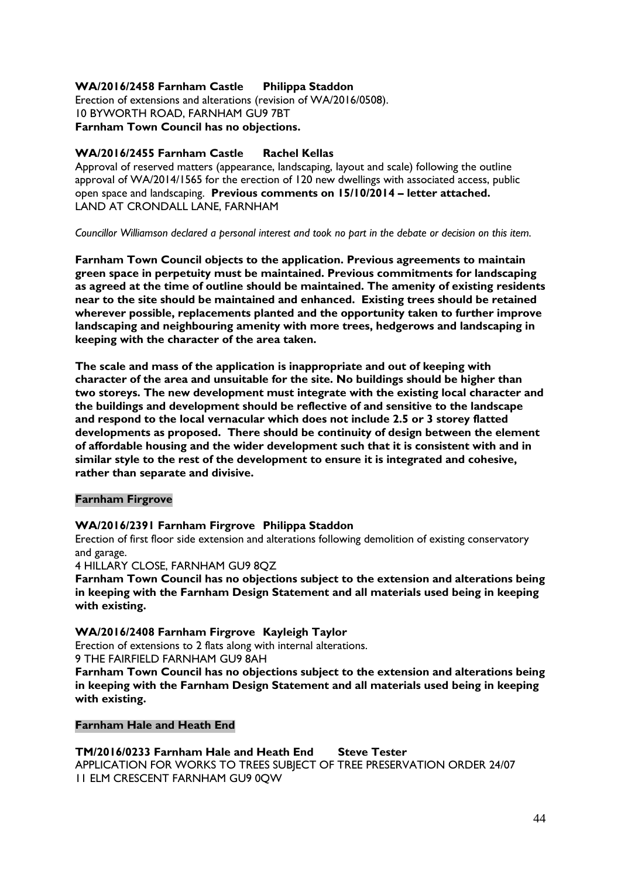#### **WA/2016/2458 Farnham Castle Philippa Staddon**

Erection of extensions and alterations (revision of WA/2016/0508). 10 BYWORTH ROAD, FARNHAM GU9 7BT **Farnham Town Council has no objections.**

#### **WA/2016/2455 Farnham Castle Rachel Kellas**

Approval of reserved matters (appearance, landscaping, layout and scale) following the outline approval of WA/2014/1565 for the erection of 120 new dwellings with associated access, public open space and landscaping. **Previous comments on 15/10/2014 – letter attached.** LAND AT CRONDALL LANE, FARNHAM

*Councillor Williamson declared a personal interest and took no part in the debate or decision on this item.*

**Farnham Town Council objects to the application. Previous agreements to maintain green space in perpetuity must be maintained. Previous commitments for landscaping as agreed at the time of outline should be maintained. The amenity of existing residents near to the site should be maintained and enhanced. Existing trees should be retained wherever possible, replacements planted and the opportunity taken to further improve landscaping and neighbouring amenity with more trees, hedgerows and landscaping in keeping with the character of the area taken.** 

**The scale and mass of the application is inappropriate and out of keeping with character of the area and unsuitable for the site. No buildings should be higher than two storeys. The new development must integrate with the existing local character and the buildings and development should be reflective of and sensitive to the landscape and respond to the local vernacular which does not include 2.5 or 3 storey flatted developments as proposed. There should be continuity of design between the element of affordable housing and the wider development such that it is consistent with and in similar style to the rest of the development to ensure it is integrated and cohesive, rather than separate and divisive.** 

#### **Farnham Firgrove**

#### **WA/2016/2391 Farnham Firgrove Philippa Staddon**

Erection of first floor side extension and alterations following demolition of existing conservatory and garage.

4 HILLARY CLOSE, FARNHAM GU9 8QZ

**Farnham Town Council has no objections subject to the extension and alterations being in keeping with the Farnham Design Statement and all materials used being in keeping with existing.**

#### **WA/2016/2408 Farnham Firgrove Kayleigh Taylor**

Erection of extensions to 2 flats along with internal alterations. 9 THE FAIRFIELD FARNHAM GU9 8AH

**Farnham Town Council has no objections subject to the extension and alterations being in keeping with the Farnham Design Statement and all materials used being in keeping with existing.**

#### **Farnham Hale and Heath End**

**TM/2016/0233 Farnham Hale and Heath End Steve Tester** APPLICATION FOR WORKS TO TREES SUBJECT OF TREE PRESERVATION ORDER 24/07 11 ELM CRESCENT FARNHAM GU9 0QW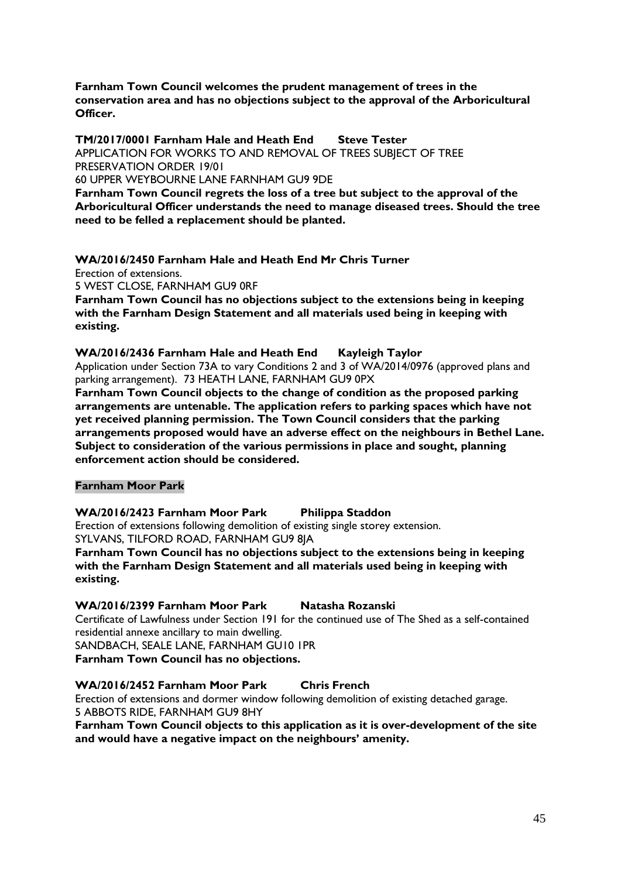**Farnham Town Council welcomes the prudent management of trees in the conservation area and has no objections subject to the approval of the Arboricultural Officer.**

**TM/2017/0001 Farnham Hale and Heath End Steve Tester** APPLICATION FOR WORKS TO AND REMOVAL OF TREES SUBJECT OF TREE PRESERVATION ORDER 19/01

60 UPPER WEYBOURNE LANE FARNHAM GU9 9DE

**Farnham Town Council regrets the loss of a tree but subject to the approval of the Arboricultural Officer understands the need to manage diseased trees. Should the tree need to be felled a replacement should be planted.**

**WA/2016/2450 Farnham Hale and Heath End Mr Chris Turner**

Erection of extensions.

5 WEST CLOSE, FARNHAM GU9 0RF

**Farnham Town Council has no objections subject to the extensions being in keeping with the Farnham Design Statement and all materials used being in keeping with existing.**

**WA/2016/2436 Farnham Hale and Heath End Kayleigh Taylor**

Application under Section 73A to vary Conditions 2 and 3 of WA/2014/0976 (approved plans and parking arrangement). 73 HEATH LANE, FARNHAM GU9 0PX

**Farnham Town Council objects to the change of condition as the proposed parking arrangements are untenable. The application refers to parking spaces which have not yet received planning permission. The Town Council considers that the parking arrangements proposed would have an adverse effect on the neighbours in Bethel Lane. Subject to consideration of the various permissions in place and sought, planning enforcement action should be considered.**

#### **Farnham Moor Park**

#### **WA/2016/2423 Farnham Moor Park Philippa Staddon**

Erection of extensions following demolition of existing single storey extension. SYLVANS, TILFORD ROAD, FARNHAM GU9 8JA

**Farnham Town Council has no objections subject to the extensions being in keeping with the Farnham Design Statement and all materials used being in keeping with existing.**

**WA/2016/2399 Farnham Moor Park Natasha Rozanski**

Certificate of Lawfulness under Section 191 for the continued use of The Shed as a self-contained residential annexe ancillary to main dwelling.

SANDBACH, SEALE LANE, FARNHAM GU10 1PR **Farnham Town Council has no objections.**

#### **WA/2016/2452 Farnham Moor Park Chris French**

Erection of extensions and dormer window following demolition of existing detached garage. 5 ABBOTS RIDE, FARNHAM GU9 8HY

**Farnham Town Council objects to this application as it is over-development of the site and would have a negative impact on the neighbours' amenity.**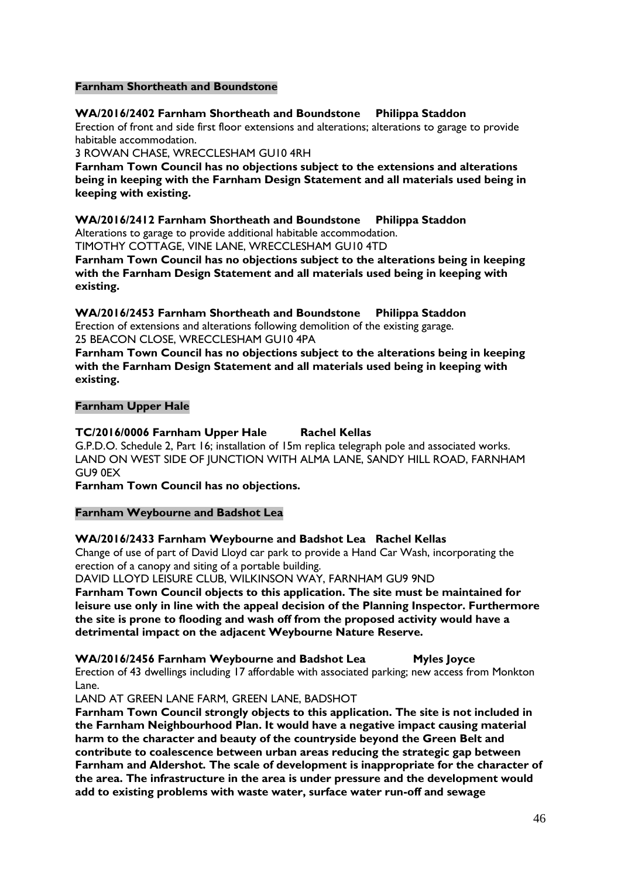#### **Farnham Shortheath and Boundstone**

#### **WA/2016/2402 Farnham Shortheath and Boundstone Philippa Staddon**

Erection of front and side first floor extensions and alterations; alterations to garage to provide habitable accommodation.

3 ROWAN CHASE, WRECCLESHAM GU10 4RH

**Farnham Town Council has no objections subject to the extensions and alterations being in keeping with the Farnham Design Statement and all materials used being in keeping with existing.**

**WA/2016/2412 Farnham Shortheath and Boundstone Philippa Staddon** Alterations to garage to provide additional habitable accommodation.

TIMOTHY COTTAGE, VINE LANE, WRECCLESHAM GU10 4TD

**Farnham Town Council has no objections subject to the alterations being in keeping with the Farnham Design Statement and all materials used being in keeping with existing.**

**WA/2016/2453 Farnham Shortheath and Boundstone Philippa Staddon** Erection of extensions and alterations following demolition of the existing garage. 25 BEACON CLOSE, WRECCLESHAM GU10 4PA

**Farnham Town Council has no objections subject to the alterations being in keeping with the Farnham Design Statement and all materials used being in keeping with existing.**

#### **Farnham Upper Hale**

#### **TC/2016/0006 Farnham Upper Hale Rachel Kellas**

G.P.D.O. Schedule 2, Part 16; installation of 15m replica telegraph pole and associated works. LAND ON WEST SIDE OF JUNCTION WITH ALMA LANE, SANDY HILL ROAD, FARNHAM GU9 0EX

**Farnham Town Council has no objections.**

#### **Farnham Weybourne and Badshot Lea**

#### **WA/2016/2433 Farnham Weybourne and Badshot Lea Rachel Kellas**

Change of use of part of David Lloyd car park to provide a Hand Car Wash, incorporating the erection of a canopy and siting of a portable building.

DAVID LLOYD LEISURE CLUB, WILKINSON WAY, FARNHAM GU9 9ND

**Farnham Town Council objects to this application. The site must be maintained for leisure use only in line with the appeal decision of the Planning Inspector. Furthermore the site is prone to flooding and wash off from the proposed activity would have a detrimental impact on the adjacent Weybourne Nature Reserve.**

**WA/2016/2456 Farnham Weybourne and Badshot Lea Myles Joyce**

Erection of 43 dwellings including 17 affordable with associated parking; new access from Monkton Lane.

LAND AT GREEN LANE FARM, GREEN LANE, BADSHOT

**Farnham Town Council strongly objects to this application. The site is not included in the Farnham Neighbourhood Plan. It would have a negative impact causing material harm to the character and beauty of the countryside beyond the Green Belt and contribute to coalescence between urban areas reducing the strategic gap between Farnham and Aldershot. The scale of development is inappropriate for the character of the area. The infrastructure in the area is under pressure and the development would add to existing problems with waste water, surface water run-off and sewage**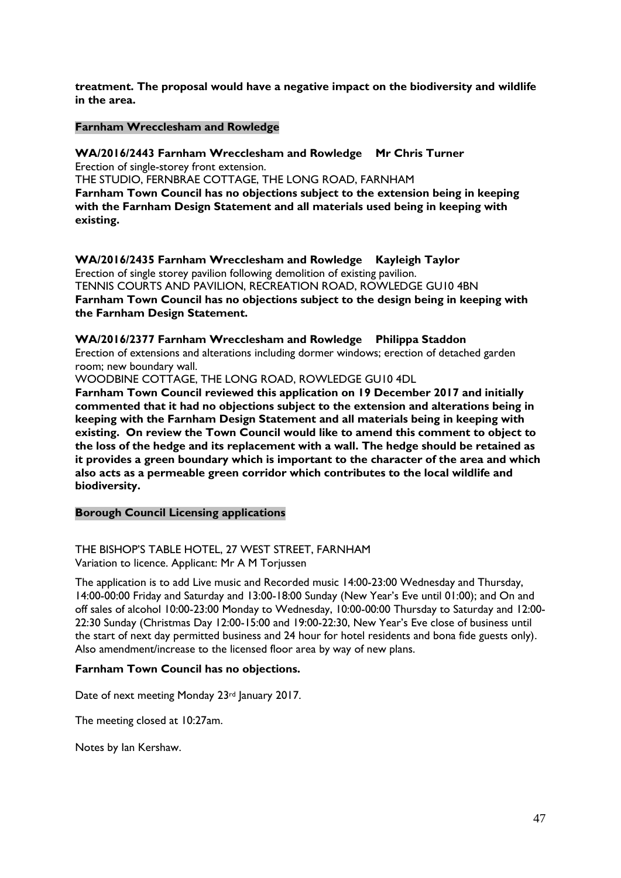**treatment. The proposal would have a negative impact on the biodiversity and wildlife in the area.**

#### **Farnham Wrecclesham and Rowledge**

**WA/2016/2443 Farnham Wrecclesham and Rowledge Mr Chris Turner** Erection of single-storey front extension.

THE STUDIO, FERNBRAE COTTAGE, THE LONG ROAD, FARNHAM **Farnham Town Council has no objections subject to the extension being in keeping with the Farnham Design Statement and all materials used being in keeping with existing.**

**WA/2016/2435 Farnham Wrecclesham and Rowledge Kayleigh Taylor** Erection of single storey pavilion following demolition of existing pavilion. TENNIS COURTS AND PAVILION, RECREATION ROAD, ROWLEDGE GU10 4BN **Farnham Town Council has no objections subject to the design being in keeping with the Farnham Design Statement.**

**WA/2016/2377 Farnham Wrecclesham and Rowledge Philippa Staddon** Erection of extensions and alterations including dormer windows; erection of detached garden room; new boundary wall.

WOODBINE COTTAGE, THE LONG ROAD, ROWLEDGE GU10 4DL

**Farnham Town Council reviewed this application on 19 December 2017 and initially commented that it had no objections subject to the extension and alterations being in keeping with the Farnham Design Statement and all materials being in keeping with existing. On review the Town Council would like to amend this comment to object to the loss of the hedge and its replacement with a wall. The hedge should be retained as it provides a green boundary which is important to the character of the area and which also acts as a permeable green corridor which contributes to the local wildlife and biodiversity.**

#### **Borough Council Licensing applications**

THE BISHOP'S TABLE HOTEL, 27 WEST STREET, FARNHAM Variation to licence. Applicant: Mr A M Torjussen

The application is to add Live music and Recorded music 14:00-23:00 Wednesday and Thursday, 14:00-00:00 Friday and Saturday and 13:00-18:00 Sunday (New Year's Eve until 01:00); and On and off sales of alcohol 10:00-23:00 Monday to Wednesday, 10:00-00:00 Thursday to Saturday and 12:00- 22:30 Sunday (Christmas Day 12:00-15:00 and 19:00-22:30, New Year's Eve close of business until the start of next day permitted business and 24 hour for hotel residents and bona fide guests only). Also amendment/increase to the licensed floor area by way of new plans.

#### **Farnham Town Council has no objections.**

Date of next meeting Monday 23<sup>rd</sup> January 2017.

The meeting closed at 10:27am.

Notes by Ian Kershaw.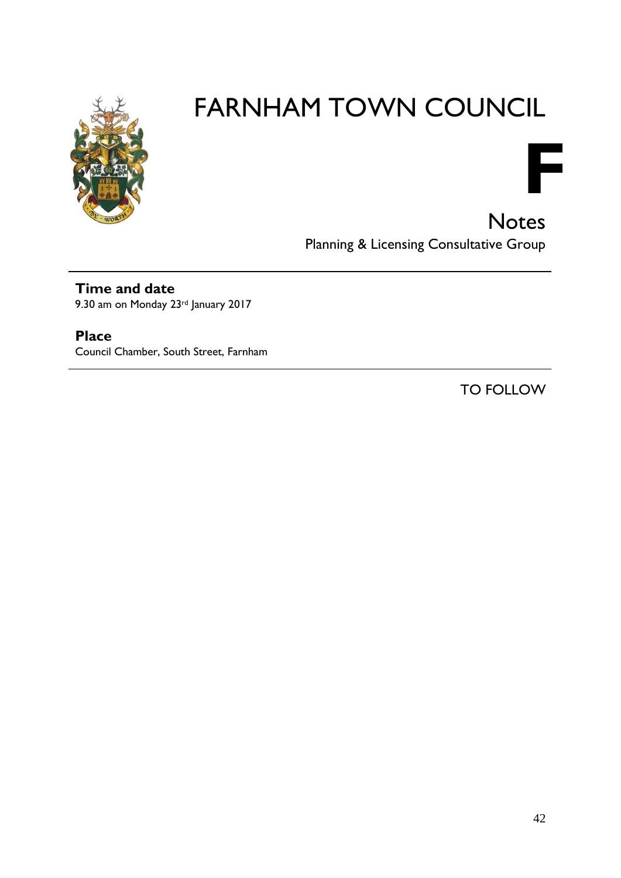



**Notes** Planning & Licensing Consultative Group

### **Time and date**

9.30 am on Monday 23rd January 2017

### **Place**

Council Chamber, South Street, Farnham

TO FOLLOW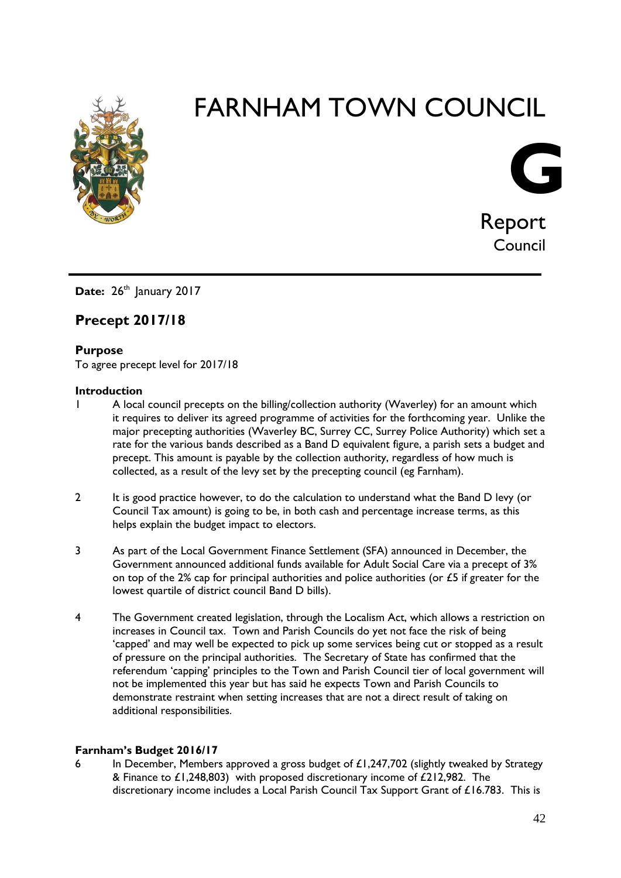



Date: 26<sup>th</sup> January 2017

#### **Precept 2017/18**

#### **Purpose**

To agree precept level for 2017/18

#### **Introduction**

- 1 A local council precepts on the billing/collection authority (Waverley) for an amount which it requires to deliver its agreed programme of activities for the forthcoming year. Unlike the major precepting authorities (Waverley BC, Surrey CC, Surrey Police Authority) which set a rate for the various bands described as a Band D equivalent figure, a parish sets a budget and precept. This amount is payable by the collection authority, regardless of how much is collected, as a result of the levy set by the precepting council (eg Farnham).
- 2 It is good practice however, to do the calculation to understand what the Band D levy (or Council Tax amount) is going to be, in both cash and percentage increase terms, as this helps explain the budget impact to electors.
- 3 As part of the Local Government Finance Settlement (SFA) announced in December, the Government announced additional funds available for Adult Social Care via a precept of 3% on top of the 2% cap for principal authorities and police authorities (or  $\pounds$ 5 if greater for the lowest quartile of district council Band D bills).
- 4 The Government created legislation, through the Localism Act, which allows a restriction on increases in Council tax. Town and Parish Councils do yet not face the risk of being 'capped' and may well be expected to pick up some services being cut or stopped as a result of pressure on the principal authorities. The Secretary of State has confirmed that the referendum 'capping' principles to the Town and Parish Council tier of local government will not be implemented this year but has said he expects Town and Parish Councils to demonstrate restraint when setting increases that are not a direct result of taking on additional responsibilities.

#### **Farnham's Budget 2016/17**

6 In December, Members approved a gross budget of  $\mathcal{L}1,247,702$  (slightly tweaked by Strategy & Finance to £1,248,803) with proposed discretionary income of £212,982. The discretionary income includes a Local Parish Council Tax Support Grant of £16.783. This is